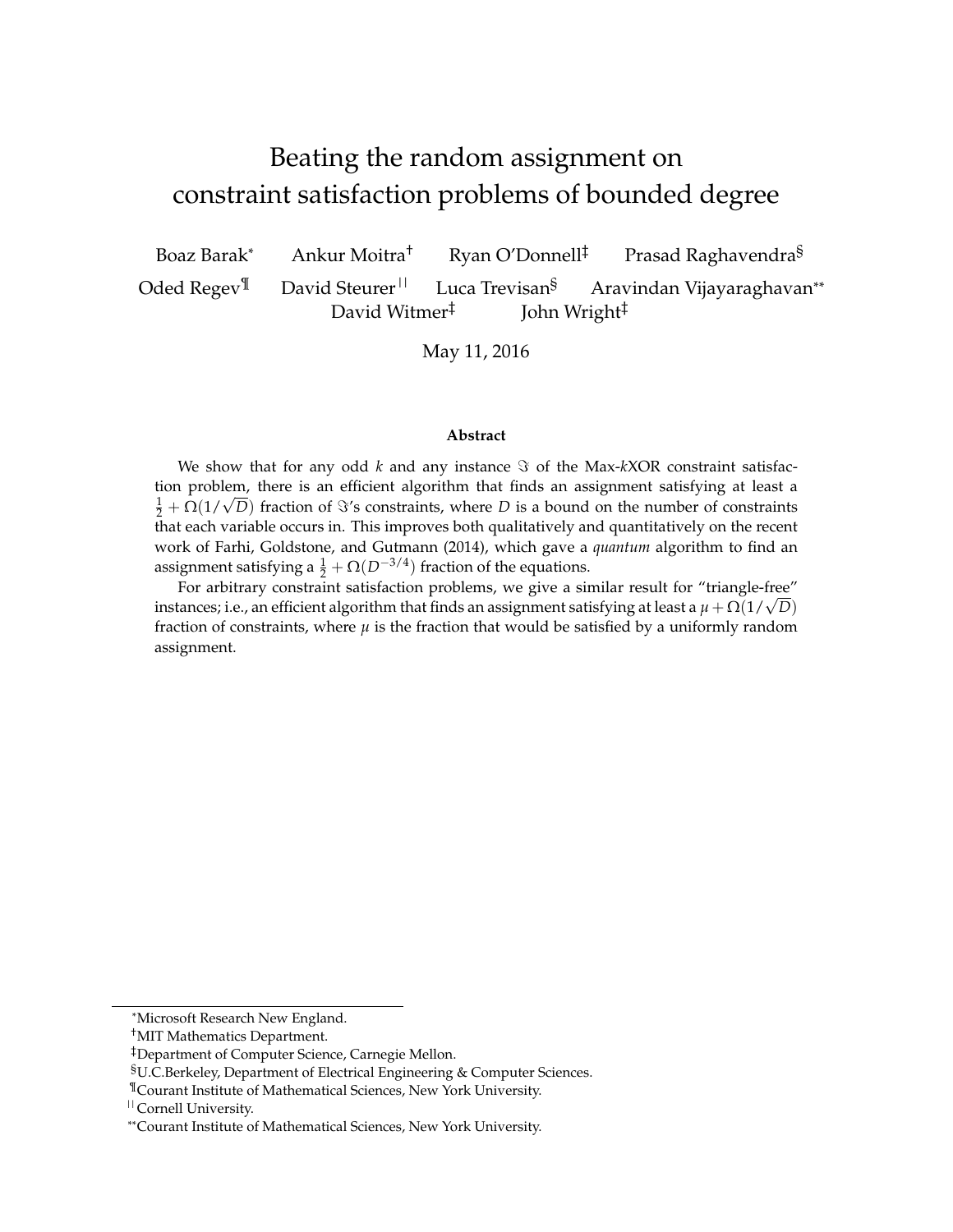# <span id="page-0-0"></span>Beating the random assignment on constraint satisfaction problems of bounded degree

Boaz Barak\* Ankur Moitra<sup>†</sup> Ryan O'Donnell<sup>‡</sup> Prasad Raghavendra<sup>§</sup> Oded Regev<sup>¶</sup> David Steurer<sup>||</sup> Luca Trevisan<sup>§</sup> Aravindan Vijayaraghavan<sup>\*\*</sup> David Witmer‡ John Wright‡

May 11, 2016

#### **Abstract**

We show that for any odd  $k$  and any instance  $\Im$  of the Max- $kXOR$  constraint satisfaction problem, there is an efficient algorithm that finds an assignment satisfying at least a from problem, there is an emclent algorithm that finds an assignment satisfying at least a  $\frac{1}{2} + \Omega(1/\sqrt{D})$  fraction of  $\Im$ 's constraints, where *D* is a bound on the number of constraints that each variable occurs in. This improves both qualitatively and quantitatively on the recent work of Farhi, Goldstone, and Gutmann (2014), which gave a *quantum* algorithm to find an assignment satisfying a  $\frac{1}{2} + \Omega(D^{-3/4})$  fraction of the equations.

For arbitrary constraint satisfaction problems, we give a similar result for "triangle-free" For arbitrary constraint satisfaction problems, we give a similar result for triangle-free instances; i.e., an efficient algorithm that finds an assignment satisfying at least a  $\mu + \Omega(1/\sqrt{D})$ fraction of constraints, where  $\mu$  is the fraction that would be satisfied by a uniformly random assignment.

<sup>\*</sup>Microsoft Research New England.

<sup>†</sup>MIT Mathematics Department.

<sup>‡</sup>Department of Computer Science, Carnegie Mellon.

<sup>§</sup>U.C.Berkeley, Department of Electrical Engineering & Computer Sciences.

<sup>¶</sup>Courant Institute of Mathematical Sciences, New York University.

<sup>||</sup>Cornell University.

<sup>\*\*</sup>Courant Institute of Mathematical Sciences, New York University.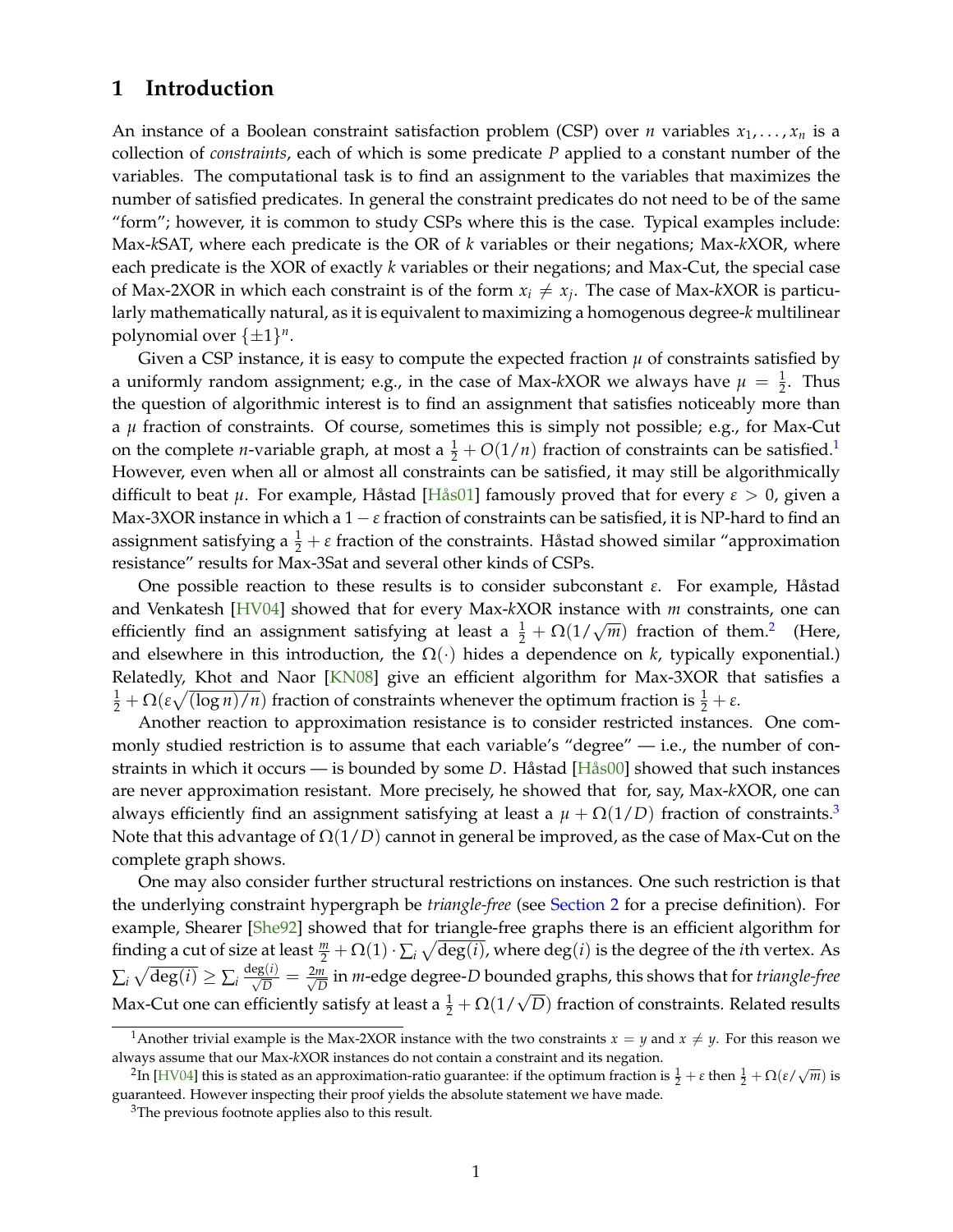# **1 Introduction**

An instance of a Boolean constraint satisfaction problem (CSP) over *n* variables  $x_1, \ldots, x_n$  is a collection of *constraints*, each of which is some predicate *P* applied to a constant number of the variables. The computational task is to find an assignment to the variables that maximizes the number of satisfied predicates. In general the constraint predicates do not need to be of the same "form"; however, it is common to study CSPs where this is the case. Typical examples include: Max-*k*SAT, where each predicate is the OR of *k* variables or their negations; Max-*k*XOR, where each predicate is the XOR of exactly *k* variables or their negations; and Max-Cut, the special case of Max-2XOR in which each constraint is of the form  $x_i \neq x_j$ . The case of Max-*k*XOR is particularly mathematically natural, as it is equivalent to maximizing a homogenous degree-*k* multilinear polynomial over  $\{\pm 1\}^n$ .

Given a CSP instance, it is easy to compute the expected fraction  $\mu$  of constraints satisfied by a uniformly random assignment; e.g., in the case of Max-kXOR we always have  $\mu = \frac{1}{2}$ . Thus the question of algorithmic interest is to find an assignment that satisfies noticeably more than a *µ* fraction of constraints. Of course, sometimes this is simply not possible; e.g., for Max-Cut on the complete *n*-variable graph, at most a  $\frac{1}{2} + O(1/n)$  $\frac{1}{2} + O(1/n)$  $\frac{1}{2} + O(1/n)$  fraction of constraints can be satisfied.<sup>1</sup> However, even when all or almost all constraints can be satisfied, it may still be algorithmically difficult to beat *µ*. For example, Håstad [\[Hås01\]](#page-14-0) famously proved that for every *ε* > 0, given a Max-3XOR instance in which a  $1 - \varepsilon$  fraction of constraints can be satisfied, it is NP-hard to find an assignment satisfying a  $\frac{1}{2} + \varepsilon$  fraction of the constraints. Håstad showed similar "approximation resistance" results for Max-3Sat and several other kinds of CSPs.

One possible reaction to these results is to consider subconstant *ε*. For example, Håstad and Venkatesh [\[HV04\]](#page-14-1) showed that for every Max-*k*XOR instance with *m* constraints, one can efficiently find an assignment satisfying at least  $a \frac{1}{2} + \Omega(1/\sqrt{m})$  $a \frac{1}{2} + \Omega(1/\sqrt{m})$  $a \frac{1}{2} + \Omega(1/\sqrt{m})$  fraction of them.<sup>2</sup> (Here, and elsewhere in this introduction, the  $\Omega(\cdot)$  hides a dependence on *k*, typically exponential.) Relatedly, Khot and Naor [\[KN08\]](#page-14-2) give an efficient algorithm for Max-3XOR that satisfies a  $\frac{1}{2} + \Omega(\varepsilon\sqrt{(\log n)/n})$  fraction of constraints whenever the optimum fraction is  $\frac{1}{2} + \varepsilon$ .

Another reaction to approximation resistance is to consider restricted instances. One commonly studied restriction is to assume that each variable's "degree" — i.e., the number of constraints in which it occurs — is bounded by some *D*. Håstad [\[Hås00\]](#page-14-3) showed that such instances are never approximation resistant. More precisely, he showed that for, say, Max-*k*XOR, one can always efficiently find an assignment satisfying at least a  $\mu + \Omega(1/D)$  fraction of constraints.<sup>[3](#page-1-2)</sup> Note that this advantage of Ω(1/*D*) cannot in general be improved, as the case of Max-Cut on the complete graph shows.

One may also consider further structural restrictions on instances. One such restriction is that the underlying constraint hypergraph be *triangle-free* (see [Section 2](#page-4-0) for a precise definition). For example, Shearer [\[She92\]](#page-14-4) showed that for triangle-free graphs there is an efficient algorithm for finding a cut of size at least  $\frac{m}{2} + \Omega(1) \cdot \sum_i \sqrt{\deg(i)}$ , where  $\deg(i)$  is the degree of the *i*th vertex. As  $\sum_i \sqrt{\deg(i)} \geq \sum_i \frac{\deg(i)}{\sqrt{D}} = \frac{2m}{\sqrt{D}}$  $\frac{n}{D}$  in *m-*edge degree-*D* bounded graphs, this shows that for *triangle-free* Max-Cut one can efficiently satisfy at least a  $\frac{1}{2} + \Omega(1/\sqrt{D})$  fraction of constraints. Related results

<span id="page-1-0"></span><sup>&</sup>lt;sup>1</sup>Another trivial example is the Max-2XOR instance with the two constraints  $x = y$  and  $x \neq y$ . For this reason we always assume that our Max-*k*XOR instances do not contain a constraint and its negation.

<span id="page-1-1"></span> ${}^{2}$ In [\[HV04\]](#page-14-1) this is stated as an approximation-ratio guarantee: if the optimum fraction is  $\frac{1}{2} + ε$  then  $\frac{1}{2} + Ω(ε/√m)$  is guaranteed. However inspecting their proof yields the absolute statement we have made.

<span id="page-1-2"></span><sup>&</sup>lt;sup>3</sup>The previous footnote applies also to this result.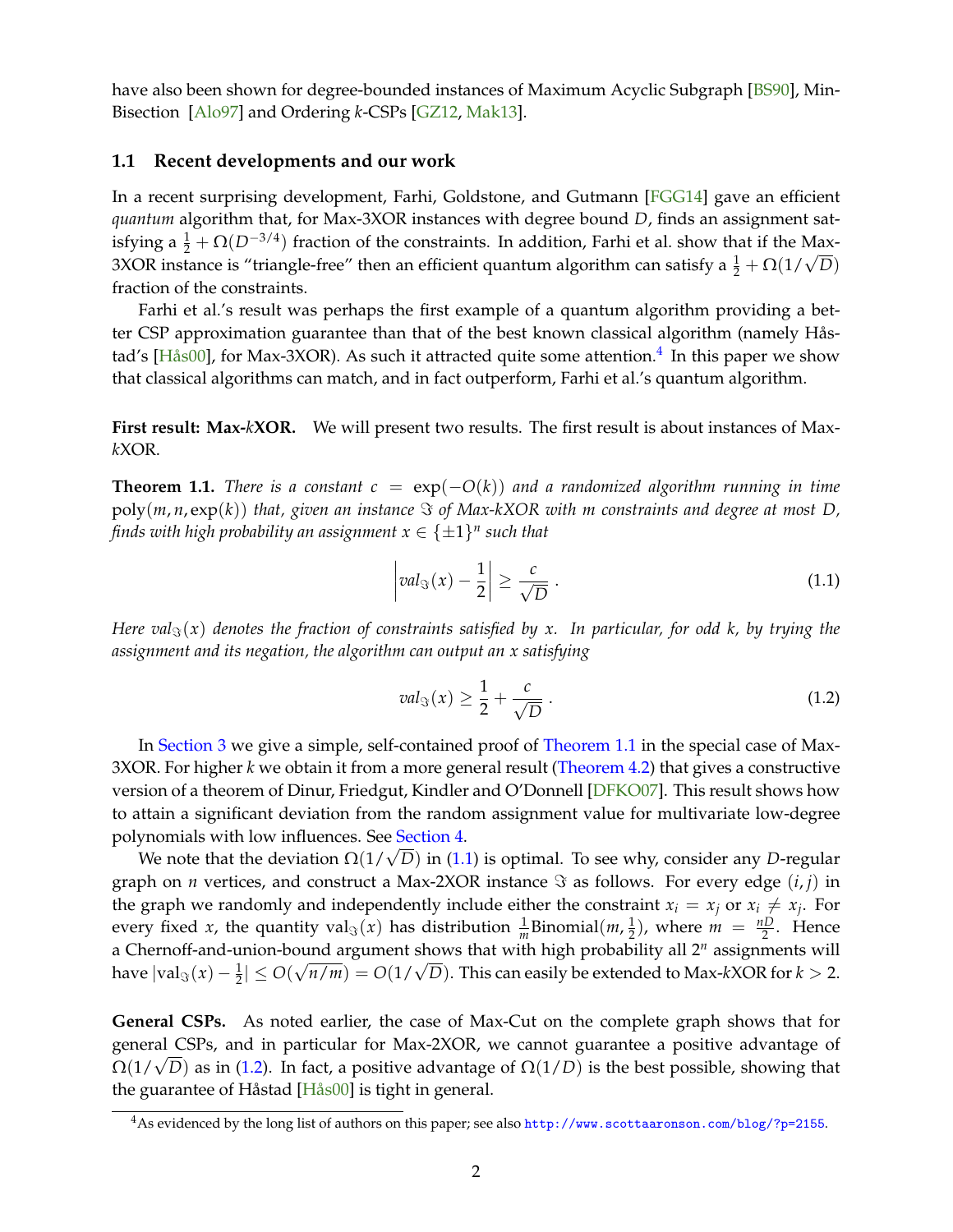<span id="page-2-4"></span>have also been shown for degree-bounded instances of Maximum Acyclic Subgraph [\[BS90\]](#page-13-0), Min-Bisection [\[Alo97\]](#page-13-1) and Ordering *k*-CSPs [\[GZ12,](#page-14-5) [Mak13\]](#page-14-6).

### **1.1 Recent developments and our work**

In a recent surprising development, Farhi, Goldstone, and Gutmann [\[FGG14\]](#page-14-7) gave an efficient *quantum* algorithm that, for Max-3XOR instances with degree bound *D*, finds an assignment satisfying a  $\frac{1}{2} + \Omega(D^{-3/4})$  fraction of the constraints. In addition, Farhi et al. show that if the Max-Siying a  $\frac{1}{2} + \Omega(D^{(1)})$  fraction of the constraints. In addition, Farm et al. show that if the Max-<br>3XOR instance is "triangle-free" then an efficient quantum algorithm can satisfy a  $\frac{1}{2} + \Omega(1/\sqrt{D})$ fraction of the constraints.

Farhi et al.'s result was perhaps the first example of a quantum algorithm providing a better CSP approximation guarantee than that of the best known classical algorithm (namely Hås-tad's [\[Hås00\]](#page-14-3), for Max-3XOR). As such it attracted quite some attention.<sup>[4](#page-2-0)</sup> In this paper we show that classical algorithms can match, and in fact outperform, Farhi et al.'s quantum algorithm.

**First result: Max-***k***XOR.** We will present two results. The first result is about instances of Max*k*XOR.

<span id="page-2-1"></span>**Theorem 1.1.** *There is a constant*  $c = \exp(-O(k))$  *and a randomized algorithm running in time*  $poly(m, n, \exp(k))$  *that, given an instance*  $\Im$  *of Max-kXOR with m constraints and degree at most D,* finds with high probability an assignment  $x \in \{\pm 1\}^n$  such that

<span id="page-2-2"></span>
$$
\left| val_{\Im}(x) - \frac{1}{2} \right| \ge \frac{c}{\sqrt{D}} \,. \tag{1.1}
$$

*Here val*<sub> $\Im$ </sub>(*x*) *denotes the fraction of constraints satisfied by x. In particular, for odd k, by trying the assignment and its negation, the algorithm can output an x satisfying*

<span id="page-2-3"></span>
$$
val_{\Im}(x) \ge \frac{1}{2} + \frac{c}{\sqrt{D}} \,. \tag{1.2}
$$

In [Section 3](#page-6-0) we give a simple, self-contained proof of [Theorem 1.1](#page-2-1) in the special case of Max-3XOR. For higher *k* we obtain it from a more general result [\(Theorem 4.2\)](#page-8-0) that gives a constructive version of a theorem of Dinur, Friedgut, Kindler and O'Donnell [\[DFKO07\]](#page-13-2). This result shows how to attain a significant deviation from the random assignment value for multivariate low-degree polynomials with low influences. See [Section 4.](#page-7-0)

We note that the deviation <sup>Ω</sup>(1/<sup>√</sup> *D*) in [\(1.1\)](#page-2-2) is optimal. To see why, consider any *D*-regular graph on *n* vertices, and construct a Max-2XOR instance  $\Im$  as follows. For every edge  $(i, j)$  in the graph we randomly and independently include either the constraint  $x_i = x_j$  or  $x_i \neq x_j$ . For every fixed *x*, the quantity  $\mathrm{val}_{\Im}(x)$  has distribution  $\frac{1}{m}$ Binomial $(m, \frac{1}{2})$  $(\frac{1}{2})$ , where  $m = \frac{nD}{2}$ . Hence a Chernoff-and-union-bound argument shows that with high probability all  $2^n$  assignments will  $\int \frac{d\mathbf{x}}{\mathbf{x}} \cdot d\mathbf{x}$  assignments with a set  $\int \frac{d\mathbf{x}}{\mathbf{x}} \cdot d\mathbf{x}$  and  $\int \frac{d\mathbf{x}}{\mathbf{x}} \cdot d\mathbf{x}$  are  $\int \frac{d\mathbf{x}}{\mathbf{x}} \cdot d\mathbf{x}$  and  $\int \frac{d\mathbf{x}}{\mathbf{x}} \cdot d\mathbf{x}$  and  $\int \frac{d\mathbf{x}}{\mathbf{x}} \cdot d\mathbf{x}$  are  $\int \frac{d\mathbf{x}}{\mathbf{x$ 

**General CSPs.** As noted earlier, the case of Max-Cut on the complete graph shows that for general CSPs, and in particular for Max-2XOR, we cannot guarantee a positive advantage of general C5rs, and in particular for Max-2∧OK, we cannot guarantee a positive advantage of Ω(1/ $\sqrt{D}$ ) as in [\(1.2\)](#page-2-3). In fact, a positive advantage of Ω(1/D) is the best possible, showing that the guarantee of Håstad [\[Hås00\]](#page-14-3) is tight in general.

<span id="page-2-0"></span><sup>4</sup>As evidenced by the long list of authors on this paper; see also <http://www.scottaaronson.com/blog/?p=2155>.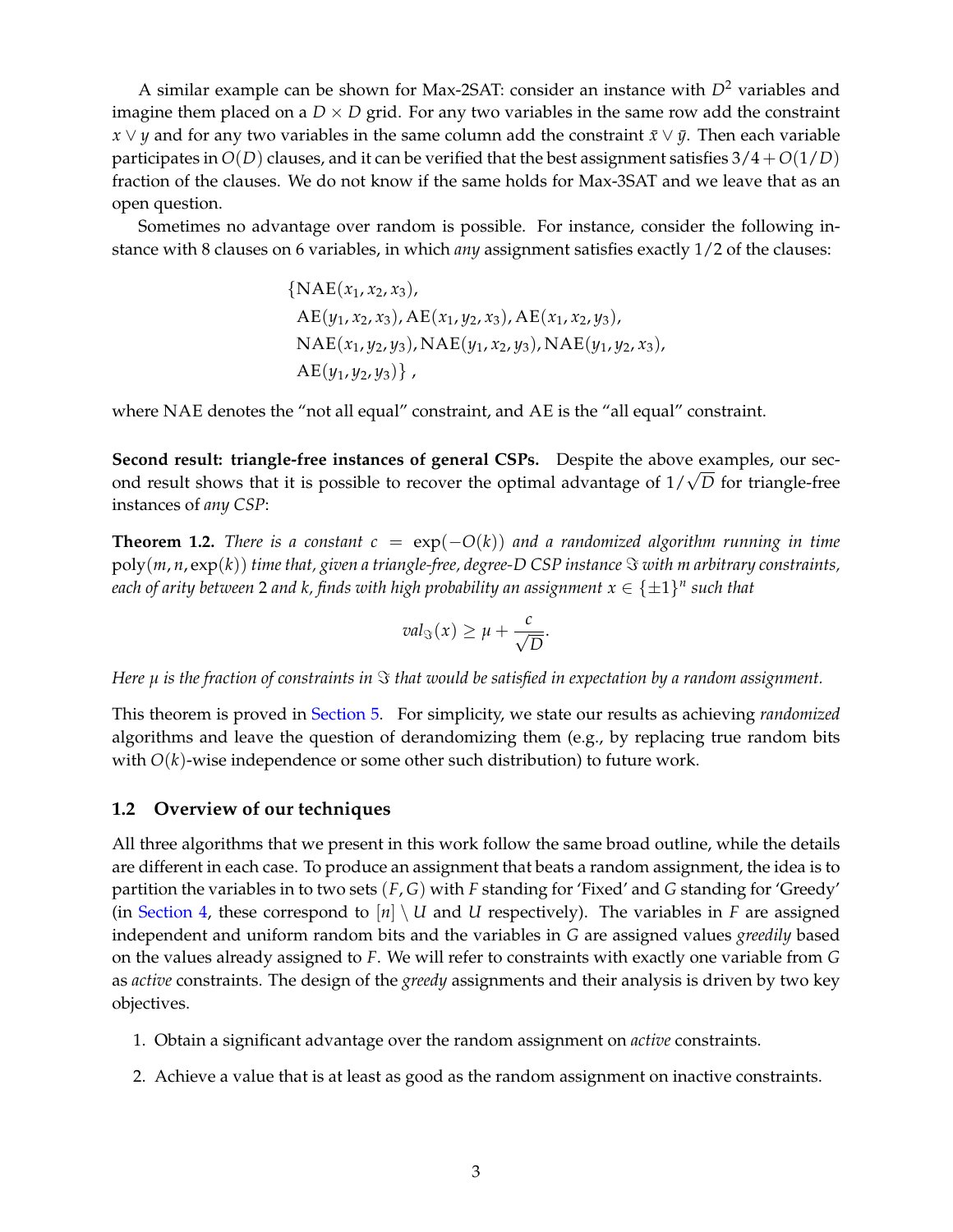A similar example can be shown for Max-2SAT: consider an instance with  $D^2$  variables and imagine them placed on a  $D \times D$  grid. For any two variables in the same row add the constraint *x* ∨ *y* and for any two variables in the same column add the constraint  $\bar{x}$  ∨  $\bar{y}$ . Then each variable participates in  $O(D)$  clauses, and it can be verified that the best assignment satisfies  $3/4 + O(1/D)$ fraction of the clauses. We do not know if the same holds for Max-3SAT and we leave that as an open question.

Sometimes no advantage over random is possible. For instance, consider the following instance with 8 clauses on 6 variables, in which *any* assignment satisfies exactly 1/2 of the clauses:

{NAE(
$$
x_1
$$
,  $x_2$ ,  $x_3$ ),  
AE( $y_1$ ,  $x_2$ ,  $x_3$ ), AE( $x_1$ ,  $y_2$ ,  $x_3$ ), AE( $x_1$ ,  $x_2$ ,  $y_3$ ),  
NAE( $x_1$ ,  $y_2$ ,  $y_3$ ), NAE( $y_1$ ,  $x_2$ ,  $y_3$ ), NAE( $y_1$ ,  $y_2$ ,  $x_3$ ),  
AE( $y_1$ ,  $y_2$ ,  $y_3$ )},

where NAE denotes the "not all equal" constraint, and AE is the "all equal" constraint.

**Second result: triangle-free instances of general CSPs.** Despite the above examples, our sec-**Second result: triangle-free instances of general CSPS.** Despite the above examples, our sec-<br>ond result shows that it is possible to recover the optimal advantage of 1/√D for triangle-free instances of *any CSP*:

<span id="page-3-2"></span>**Theorem 1.2.** *There is a constant*  $c = \exp(-O(k))$  *and a randomized algorithm running in time*  $poly(m, n, exp(k))$  *time that, given a triangle-free, degree-D CSP instance*  $\Im$  *with m arbitrary constraints,* each of arity between 2 and k, finds with high probability an assignment  $x \in \{\pm 1\}^n$  such that

$$
val_{\Im}(x)\geq \mu+\frac{c}{\sqrt{D}}.
$$

*Here*  $\mu$  *is the fraction of constraints in*  $\Im$  *that would be satisfied in expectation by a random assignment.* 

This theorem is proved in [Section 5.](#page-10-0) For simplicity, we state our results as achieving *randomized* algorithms and leave the question of derandomizing them (e.g., by replacing true random bits with  $O(k)$ -wise independence or some other such distribution) to future work.

#### **1.2 Overview of our techniques**

All three algorithms that we present in this work follow the same broad outline, while the details are different in each case. To produce an assignment that beats a random assignment, the idea is to partition the variables in to two sets (*F*, *G*) with *F* standing for 'Fixed' and *G* standing for 'Greedy' (in [Section 4,](#page-7-0) these correspond to  $[n] \setminus U$  and U respectively). The variables in *F* are assigned independent and uniform random bits and the variables in *G* are assigned values *greedily* based on the values already assigned to *F*. We will refer to constraints with exactly one variable from *G* as *active* constraints. The design of the *greedy* assignments and their analysis is driven by two key objectives.

- <span id="page-3-1"></span>1. Obtain a significant advantage over the random assignment on *active* constraints.
- <span id="page-3-0"></span>2. Achieve a value that is at least as good as the random assignment on inactive constraints.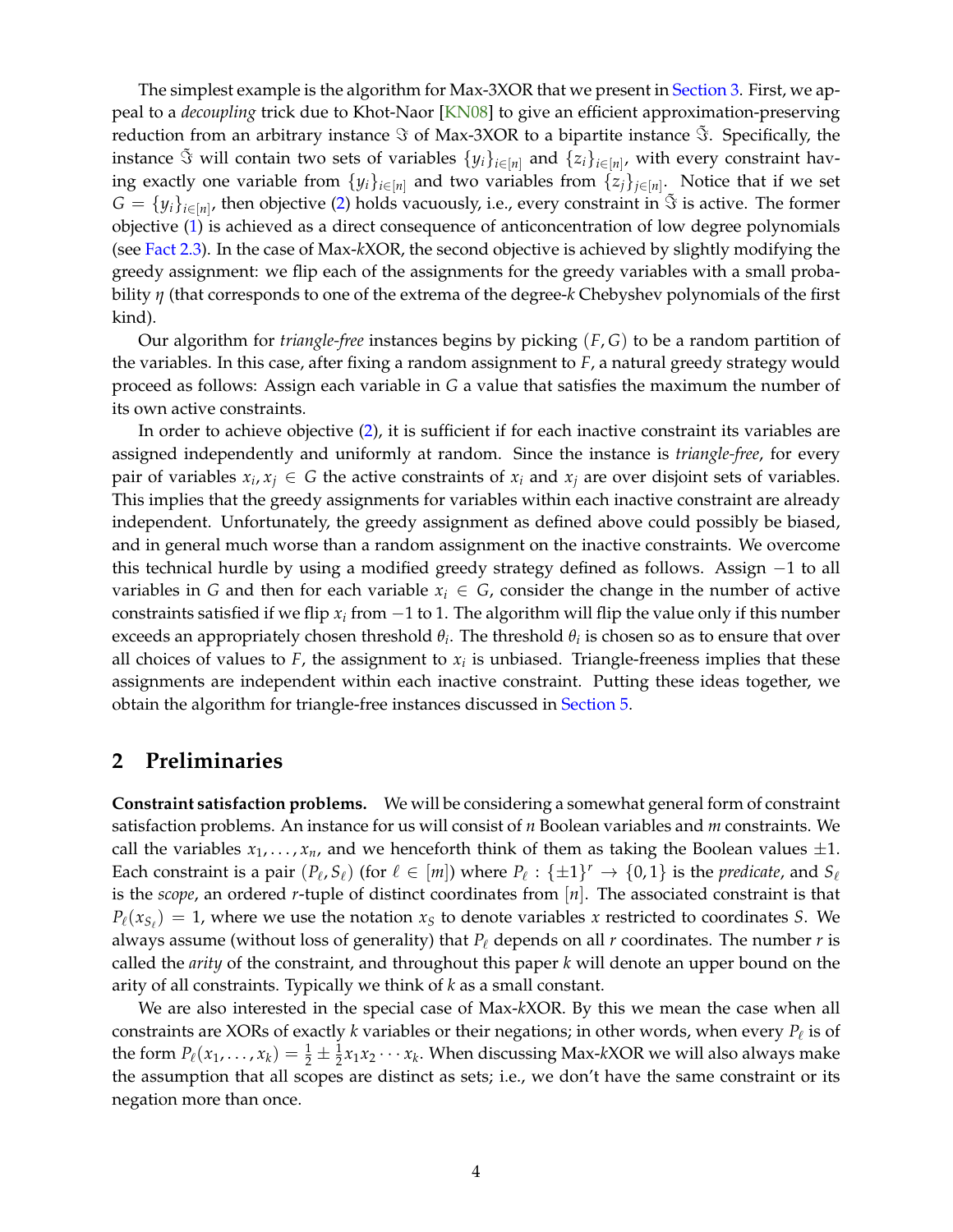<span id="page-4-1"></span>The simplest example is the algorithm for Max-3XOR that we present in [Section 3.](#page-6-0) First, we appeal to a *decoupling* trick due to Khot-Naor [\[KN08\]](#page-14-2) to give an efficient approximation-preserving reduction from an arbitrary instance  $\Im$  of Max-3XOR to a bipartite instance  $\tilde{\Im}$ . Specifically, the instance  $\tilde{\Im}$  will contain two sets of variables  $\{y_i\}_{i\in[n]}$  and  $\{z_i\}_{i\in[n]}$ , with every constraint having exactly one variable from  $\{y_i\}_{i \in [n]}$  and two variables from  $\{z_j\}_{j \in [n]}$ . Notice that if we set  $G = \{y_i\}_{i \in [n]}$ , then objective [\(2\)](#page-3-0) holds vacuously, i.e., every constraint in  $\tilde{S}$  is active. The former objective [\(1\)](#page-3-1) is achieved as a direct consequence of anticoncentration of low degree polynomials (see [Fact 2.3\)](#page-6-1). In the case of Max-*k*XOR, the second objective is achieved by slightly modifying the greedy assignment: we flip each of the assignments for the greedy variables with a small probability *η* (that corresponds to one of the extrema of the degree-*k* Chebyshev polynomials of the first kind).

Our algorithm for *triangle-free* instances begins by picking (*F*, *G*) to be a random partition of the variables. In this case, after fixing a random assignment to *F*, a natural greedy strategy would proceed as follows: Assign each variable in *G* a value that satisfies the maximum the number of its own active constraints.

In order to achieve objective [\(2\)](#page-3-0), it is sufficient if for each inactive constraint its variables are assigned independently and uniformly at random. Since the instance is *triangle-free*, for every pair of variables  $x_i, x_j \in G$  the active constraints of  $x_i$  and  $x_j$  are over disjoint sets of variables. This implies that the greedy assignments for variables within each inactive constraint are already independent. Unfortunately, the greedy assignment as defined above could possibly be biased, and in general much worse than a random assignment on the inactive constraints. We overcome this technical hurdle by using a modified greedy strategy defined as follows. Assign −1 to all variables in *G* and then for each variable  $x_i \in G$ , consider the change in the number of active constraints satisfied if we flip  $x_i$  from −1 to 1. The algorithm will flip the value only if this number exceeds an appropriately chosen threshold *θ<sup>i</sup>* . The threshold *θ<sup>i</sup>* is chosen so as to ensure that over all choices of values to  $F$ , the assignment to  $x_i$  is unbiased. Triangle-freeness implies that these assignments are independent within each inactive constraint. Putting these ideas together, we obtain the algorithm for triangle-free instances discussed in [Section 5.](#page-10-0)

## <span id="page-4-0"></span>**2 Preliminaries**

**Constraint satisfaction problems.** We will be considering a somewhat general form of constraint satisfaction problems. An instance for us will consist of *n* Boolean variables and *m* constraints. We call the variables  $x_1, \ldots, x_n$ , and we henceforth think of them as taking the Boolean values  $\pm 1$ . Each constraint is a pair  $(P_\ell, S_\ell)$  (for  $\ell \in [m]$ ) where  $P_\ell: \{\pm 1\}^r \to \{0,1\}$  is the *predicate*, and  $S_\ell$ is the *scope*, an ordered *r*-tuple of distinct coordinates from [*n*]. The associated constraint is that  $P_{\ell}(x_{S_{\ell}}) = 1$ , where we use the notation  $x_S$  to denote variables *x* restricted to coordinates *S*. We always assume (without loss of generality) that  $P_\ell$  depends on all  $r$  coordinates. The number  $r$  is called the *arity* of the constraint, and throughout this paper *k* will denote an upper bound on the arity of all constraints. Typically we think of *k* as a small constant.

We are also interested in the special case of Max-*k*XOR. By this we mean the case when all constraints are XORs of exactly  $k$  variables or their negations; in other words, when every  $P_\ell$  is of the form  $P_\ell(x_1, \ldots, x_k) = \frac{1}{2} \pm \frac{1}{2}x_1x_2\cdots x_k$ . When discussing Max-*k*XOR we will also always make the assumption that all scopes are distinct as sets; i.e., we don't have the same constraint or its negation more than once.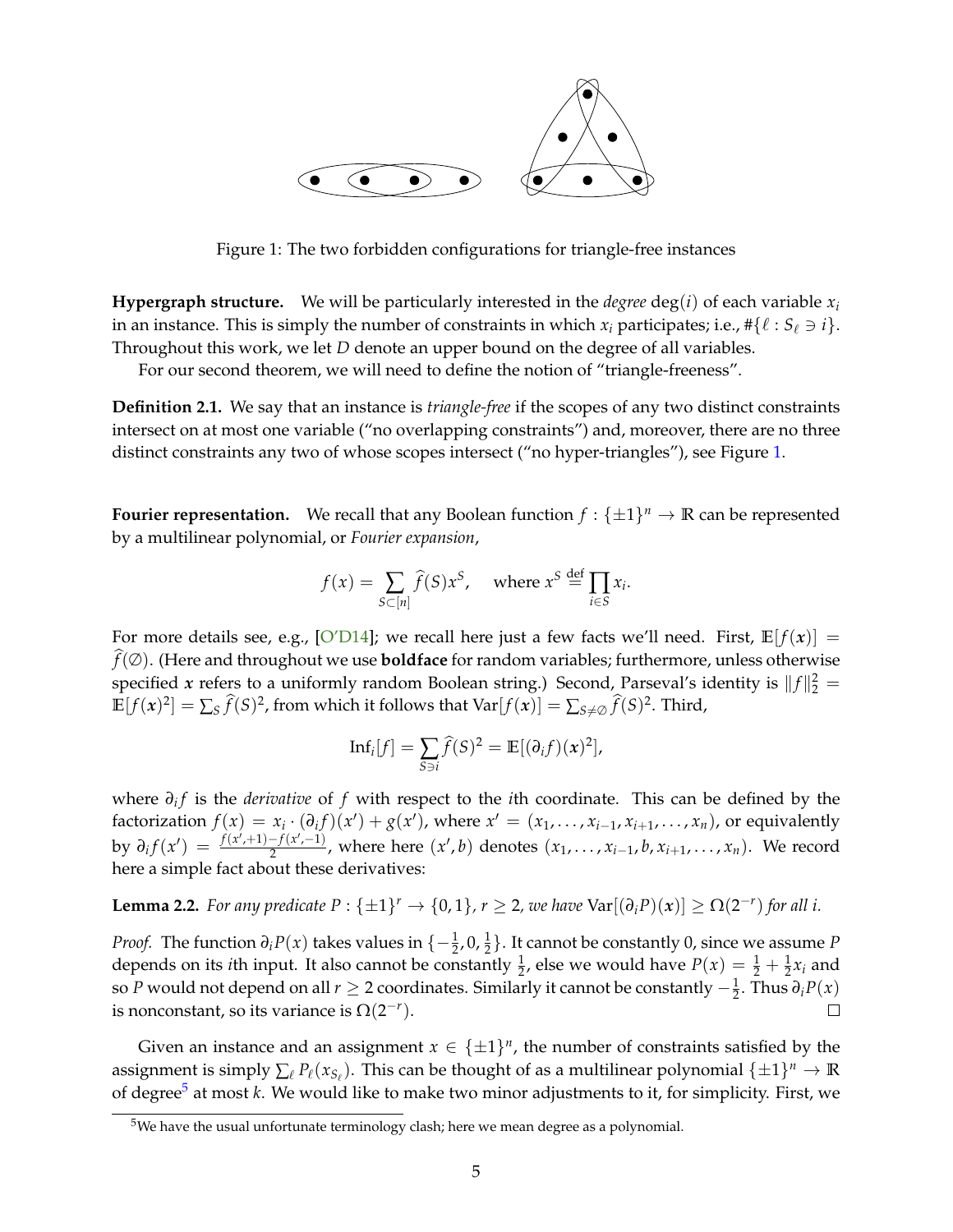<span id="page-5-4"></span>

<span id="page-5-0"></span>Figure 1: The two forbidden configurations for triangle-free instances

**Hypergraph structure.** We will be particularly interested in the *degree* deg(*i*) of each variable  $x_i$ in an instance. This is simply the number of constraints in which  $x_i$  participates; i.e.,  $\#\{\ell : S_\ell \ni i\}.$ Throughout this work, we let *D* denote an upper bound on the degree of all variables.

For our second theorem, we will need to define the notion of "triangle-freeness".

<span id="page-5-2"></span>**Definition 2.1.** We say that an instance is *triangle-free* if the scopes of any two distinct constraints intersect on at most one variable ("no overlapping constraints") and, moreover, there are no three distinct constraints any two of whose scopes intersect ("no hyper-triangles"), see Figure [1.](#page-5-0)

**Fourier representation.** We recall that any Boolean function  $f: \{\pm 1\}^n \to \mathbb{R}$  can be represented by a multilinear polynomial, or *Fourier expansion*,

$$
f(x) = \sum_{S \subset [n]} \widehat{f}(S)x^S, \quad \text{where } x^S \stackrel{\text{def}}{=} \prod_{i \in S} x_i.
$$

For more details see, e.g., [\[O'D14\]](#page-14-8); we recall here just a few facts we'll need. First,  $\mathbb{E}[f(x)] =$  $\hat{f}(\emptyset)$ . (Here and throughout we use **boldface** for random variables; furthermore, unless otherwise specified *x* refers to a uniformly random Boolean string.) Second, Parseval's identity is  $||f||_2^2 =$  $\mathbb{E}[f(x)^2] = \sum_S \widehat{f}(S)^2$ , from which it follows that  $\text{Var}[f(x)] = \sum_{S \neq \emptyset} \widehat{f}(S)^2$ . Third,

$$
\mathrm{Inf}_i[f] = \sum_{S \ni i} \widehat{f}(S)^2 = \mathbb{E}[(\partial_i f)(x)^2],
$$

where *∂<sup>i</sup> f* is the *derivative* of *f* with respect to the *i*th coordinate. This can be defined by the factorization  $f(x) = x_i \cdot (\partial_i f)(x') + g(x')$ , where  $x' = (x_1, \ldots, x_{i-1}, x_{i+1}, \ldots, x_n)$ , or equivalently  $\frac{dy}{dx}$  *by*  $\partial_i f(x') = \frac{f(x',+1)-f(x',-1)}{2}$  $\frac{(-f(x',-1))}{2}$ , where here  $(x',b)$  denotes  $(x_1,\ldots,x_{i-1},b,x_{i+1},\ldots,x_n)$ . We record here a simple fact about these derivatives:

<span id="page-5-3"></span>**Lemma 2.2.** For any predicate  $P: \{\pm 1\}^r \to \{0, 1\}$ ,  $r \geq 2$ , we have  $\text{Var}[(\partial_i P)(x)] \geq \Omega(2^{-r})$  for all i.

*Proof.* The function  $\partial_i P(x)$  takes values in  $\{-\frac{1}{2}, 0, \frac{1}{2}\}$ . It cannot be constantly 0, since we assume *P* depends on its *i*th input. It also cannot be constantly  $\frac{1}{2}$ , else we would have  $P(x) = \frac{1}{2} + \frac{1}{2}x_i$  and so *P* would not depend on all  $r \geq 2$  coordinates. Similarly it cannot be constantly  $-\frac{1}{2}$ . Thus  $\partial_i P(x)$ is nonconstant, so its variance is  $\Omega(2^{-r})$ .  $\Box$ 

Given an instance and an assignment  $x \in {\pm 1}^n$ , the number of constraints satisfied by the assignment is simply  $\sum_{\ell} P_{\ell}(x_{S_{\ell}})$ . This can be thought of as a multilinear polynomial  $\{\pm 1\}^n \to \mathbb{R}$ of degree<sup>[5](#page-5-1)</sup> at most *k*. We would like to make two minor adjustments to it, for simplicity. First, we

<span id="page-5-1"></span><sup>5</sup>We have the usual unfortunate terminology clash; here we mean degree as a polynomial.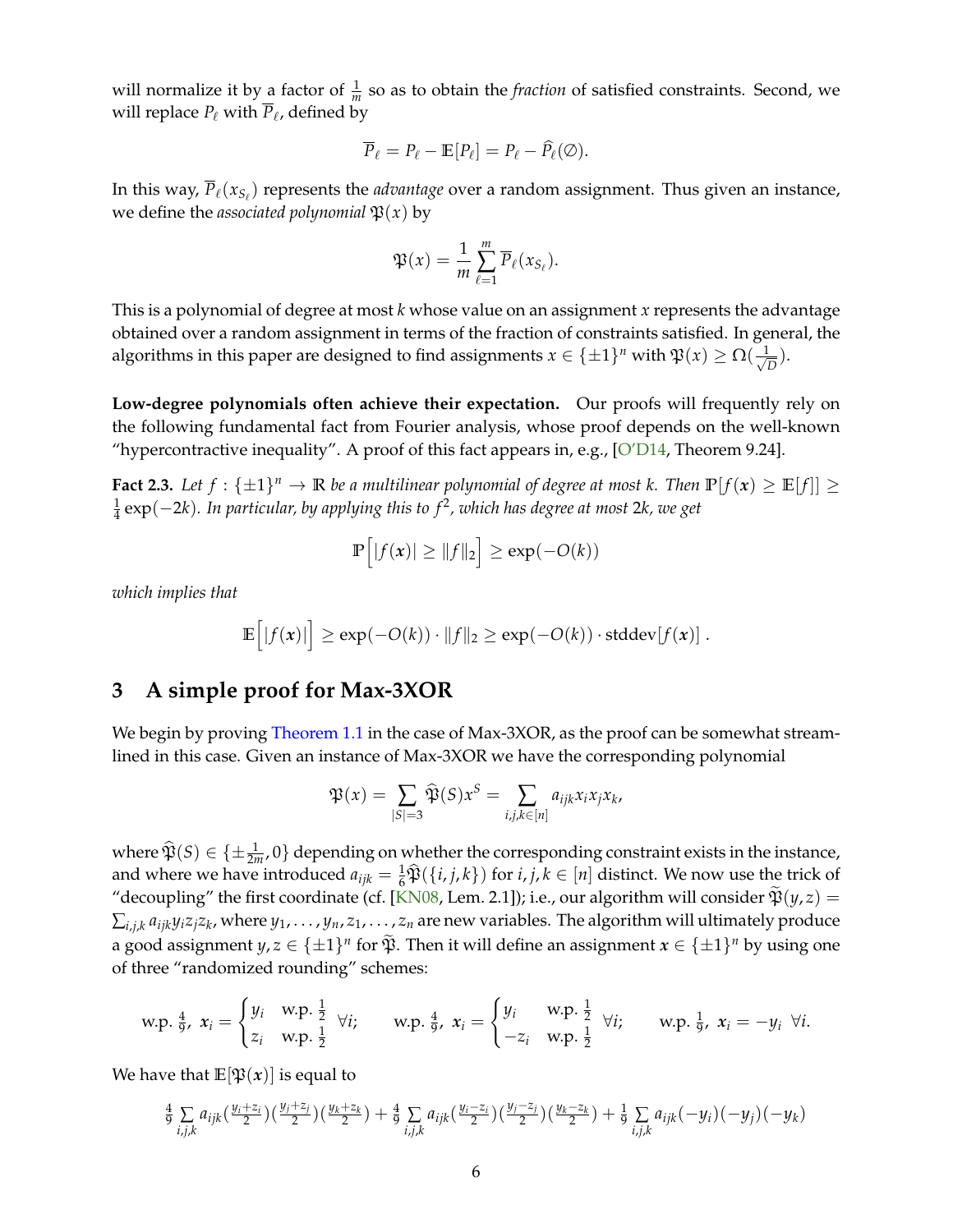<span id="page-6-2"></span>will normalize it by a factor of  $\frac{1}{m}$  so as to obtain the *fraction* of satisfied constraints. Second, we will replace  $P_\ell$  with  $P_\ell$ , defined by

$$
\overline{P}_{\ell} = P_{\ell} - \mathbb{E}[P_{\ell}] = P_{\ell} - \widehat{P}_{\ell}(\emptyset).
$$

In this way,  $\overline{P}_\ell(x_{S_\ell})$  represents the *advantage* over a random assignment. Thus given an instance, we define the *associated polynomial*  $\mathfrak{P}(x)$  by

$$
\mathfrak{P}(x) = \frac{1}{m} \sum_{\ell=1}^m \overline{P}_{\ell}(x_{S_{\ell}}).
$$

This is a polynomial of degree at most *k* whose value on an assignment *x* represents the advantage obtained over a random assignment in terms of the fraction of constraints satisfied. In general, the algorithms in this paper are designed to find assignments  $x \in \{\pm 1\}^n$  with  $\mathfrak{P}(x) \ge \Omega(\frac{1}{\sqrt{n}})$ *D* ).

**Low-degree polynomials often achieve their expectation.** Our proofs will frequently rely on the following fundamental fact from Fourier analysis, whose proof depends on the well-known "hypercontractive inequality". A proof of this fact appears in, e.g.,  $[O'D14$ , Theorem 9.24].

<span id="page-6-1"></span>**Fact 2.3.** Let  $f: \{\pm 1\}^n \to \mathbb{R}$  be a multilinear polynomial of degree at most k. Then  $\mathbb{P}[f(x) \ge \mathbb{E}[f]] \ge$ 1 4 exp(−2*k*)*. In particular, by applying this to f* <sup>2</sup> *, which has degree at most* 2*k, we get*

$$
\mathbb{P}\Big[|f(x)| \geq \|f\|_2\Big] \geq \exp(-O(k))
$$

*which implies that*

$$
\mathbb{E}\Big[|f(x)|\Big] \geq \exp(-O(k)) \cdot \|f\|_2 \geq \exp(-O(k)) \cdot \mathrm{stddev}[f(x)].
$$

## <span id="page-6-0"></span>**3 A simple proof for Max-3XOR**

We begin by proving [Theorem 1.1](#page-2-1) in the case of Max-3XOR, as the proof can be somewhat streamlined in this case. Given an instance of Max-3XOR we have the corresponding polynomial

$$
\mathfrak{P}(x) = \sum_{|S|=3} \widehat{\mathfrak{P}}(S) x^S = \sum_{i,j,k \in [n]} a_{ijk} x_i x_j x_k,
$$

where  $\widehat{\mathfrak{P}}(S) \in \{\pm \frac{1}{2m}, 0\}$  depending on whether the corresponding constraint exists in the instance, and where we have introduced  $a_{ijk} = \frac{1}{6}\hat{\mathfrak{P}}(\{i, j, k\})$  for  $i, j, k \in [n]$  distinct. We now use the trick of "decoupling" the first coordinate (cf. [\[KN08,](#page-14-2) Lem. 2.1]); i.e., our algorithm will consider  $\widetilde{\mathfrak{P}}(y, z)$  =  $\sum_{i,j,k}a_{ijk}y_iz_jz_k$ , where  $y_1,\ldots,y_n,z_1,\ldots,z_n$  are new variables. The algorithm will ultimately produce a good assignment  $y, z \in {\pm 1}^n$  for  $\widetilde{\mathfrak{P}}$ . Then it will define an assignment  $x \in {\pm 1}^n$  by using one of three "randomized rounding" schemes:

$$
\text{w.p. } \frac{4}{9}, \ x_i = \begin{cases} y_i & \text{w.p. } \frac{1}{2} \\ z_i & \text{w.p. } \frac{1}{2} \end{cases} \ \forall i; \qquad \text{w.p. } \frac{4}{9}, \ x_i = \begin{cases} y_i & \text{w.p. } \frac{1}{2} \\ -z_i & \text{w.p. } \frac{1}{2} \end{cases} \ \forall i; \qquad \text{w.p. } \frac{1}{9}, \ x_i = -y_i \ \forall i.
$$

We have that  $\mathbb{E}[\mathfrak{P}(x)]$  is equal to

$$
\frac{4}{9} \sum_{i,j,k} a_{ijk} \left(\frac{y_i + z_i}{2}\right) \left(\frac{y_j + z_j}{2}\right) \left(\frac{y_k + z_k}{2}\right) + \frac{4}{9} \sum_{i,j,k} a_{ijk} \left(\frac{y_i - z_i}{2}\right) \left(\frac{y_j - z_j}{2}\right) \left(\frac{y_k - z_k}{2}\right) + \frac{1}{9} \sum_{i,j,k} a_{ijk} (-y_i) (-y_j) (-y_k)
$$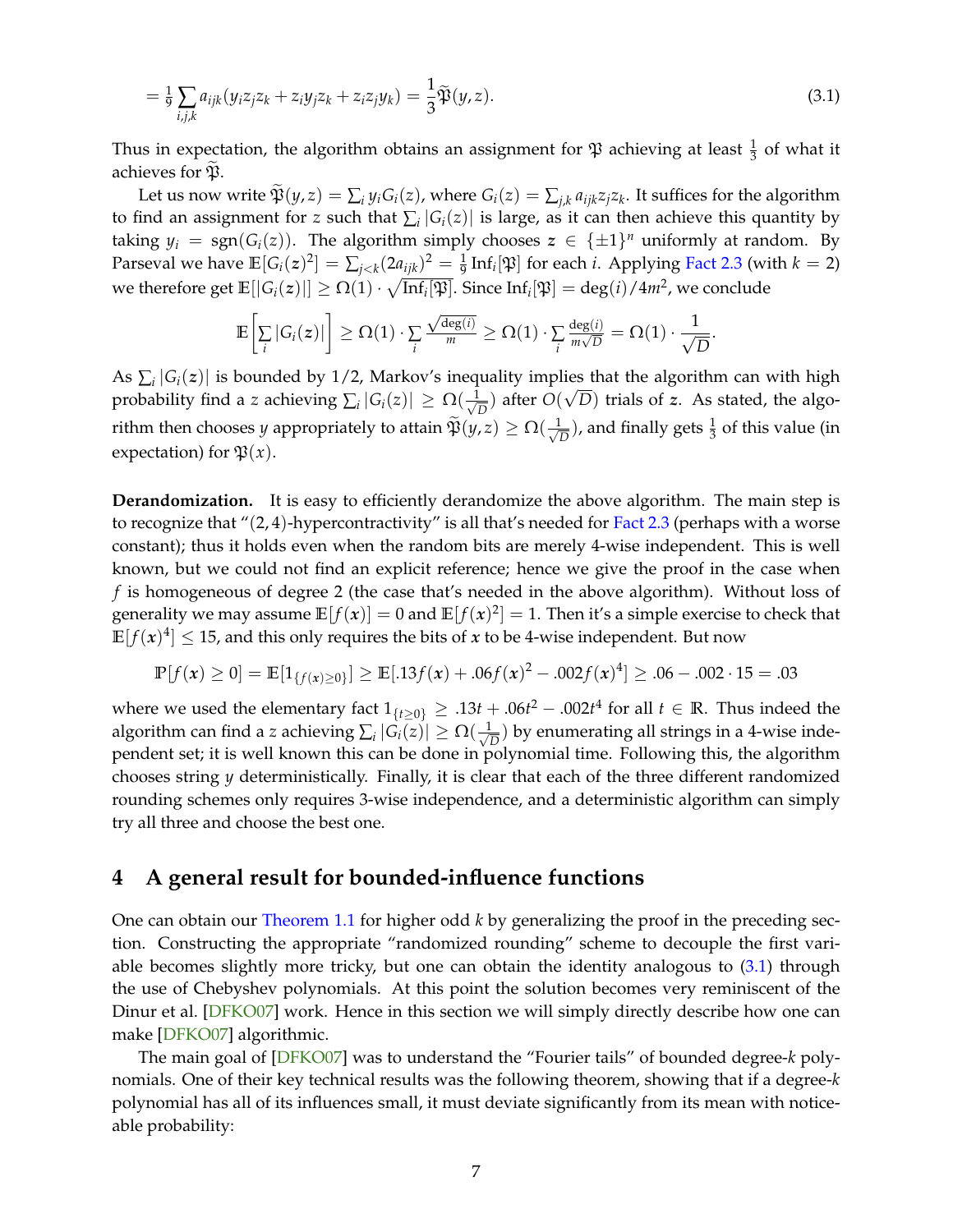<span id="page-7-2"></span>
$$
= \frac{1}{9} \sum_{i,j,k} a_{ijk} (y_i z_j z_k + z_i y_j z_k + z_i z_j y_k) = \frac{1}{3} \widetilde{\mathfrak{P}}(y, z).
$$
 (3.1)

Thus in expectation, the algorithm obtains an assignment for  $\mathfrak P$  achieving at least  $\frac{1}{3}$  of what it achieves for  $\mathfrak{P}$ .

Let us now write  $\mathfrak{P}(y, z) = \sum_i y_i G_i(z)$ , where  $G_i(z) = \sum_{j,k} a_{ijk} z_j z_k$ . It suffices for the algorithm to find an assignment for *z* such that  $\sum_i |G_i(z)|$  is large, as it can then achieve this quantity by taking  $y_i = \text{sgn}(G_i(z))$ . The algorithm simply chooses  $z \in {\pm 1}^n$  uniformly at random. By Parseval we have  $\mathbb{E}[G_i(z)^2] = \sum_{j < k} (2a_{ijk})^2 = \frac{1}{9} \text{Inf}_i[\mathfrak{P}]$  for each *i*. Applying [Fact 2.3](#page-6-1) (with  $k = 2$ ) we therefore get  $\mathbb{E}[|G_i(z)|] \geq \Omega(1) \cdot \sqrt{\text{Inf}_i[\mathfrak{P}]}$ . Since  $\text{Inf}_i[\mathfrak{P}] = \deg(i)/4m^2$ , we conclude

<span id="page-7-1"></span>
$$
\mathbb{E}\bigg[\sum_i |G_i(z)|\bigg] \geq \Omega(1) \cdot \sum_i \frac{\sqrt{\deg(i)}}{m} \geq \Omega(1) \cdot \sum_i \frac{\deg(i)}{m\sqrt{D}} = \Omega(1) \cdot \frac{1}{\sqrt{D}}.
$$

As  $\sum_i |G_i(z)|$  is bounded by 1/2, Markov's inequality implies that the algorithm can with high probability find a *z* achieving  $\sum_i |G_i(z)| \ge \Omega(\frac{1}{\sqrt{2}})$  $\frac{D}{D}$ ) after  $O(\sqrt{D})$  trials of *z*. As stated, the algorithm then chooses *y* appropriately to attain  $\widetilde{\mathfrak{P}}(y,z) \geq \Omega(\frac{1}{\sqrt{2}})$  $\frac{1}{\sqrt{D}}$ ), and finally gets  $\frac{1}{3}$  of this value (in expectation) for  $\mathfrak{P}(x)$ .

**Derandomization.** It is easy to efficiently derandomize the above algorithm. The main step is to recognize that " $(2, 4)$ -hypercontractivity" is all that's needed for [Fact 2.3](#page-6-1) (perhaps with a worse constant); thus it holds even when the random bits are merely 4-wise independent. This is well known, but we could not find an explicit reference; hence we give the proof in the case when *f* is homogeneous of degree 2 (the case that's needed in the above algorithm). Without loss of generality we may assume  $\mathbb{E}[f(x)] = 0$  and  $\mathbb{E}[f(x)^2] = 1$ . Then it's a simple exercise to check that  $\mathbb{E}[f(x)^4] \leq 15$ , and this only requires the bits of *x* to be 4-wise independent. But now

$$
\mathbb{P}[f(x) \ge 0] = \mathbb{E}[1_{\{f(x) \ge 0\}}] \ge \mathbb{E}[.13f(x) + .06f(x)^2 - .002f(x)^4] \ge .06 - .002 \cdot 15 = .03
$$

where we used the elementary fact  $1_{\{t\geq0\}} \geq .13t + .06t^2 - .002t^4$  for all  $t \in \mathbb{R}$ . Thus indeed the algorithm can find a *z* achieving  $\sum_i |G_i(z)| \ge \Omega(\frac{1}{\sqrt{2}})$  $\frac{1}{D}$ ) by enumerating all strings in a 4-wise independent set; it is well known this can be done in polynomial time. Following this, the algorithm chooses string *y* deterministically. Finally, it is clear that each of the three different randomized rounding schemes only requires 3-wise independence, and a deterministic algorithm can simply try all three and choose the best one.

## <span id="page-7-0"></span>**4 A general result for bounded-influence functions**

One can obtain our [Theorem 1.1](#page-2-1) for higher odd *k* by generalizing the proof in the preceding section. Constructing the appropriate "randomized rounding" scheme to decouple the first variable becomes slightly more tricky, but one can obtain the identity analogous to [\(3.1\)](#page-7-1) through the use of Chebyshev polynomials. At this point the solution becomes very reminiscent of the Dinur et al. [\[DFKO07\]](#page-13-2) work. Hence in this section we will simply directly describe how one can make [\[DFKO07\]](#page-13-2) algorithmic.

The main goal of [\[DFKO07\]](#page-13-2) was to understand the "Fourier tails" of bounded degree-*k* polynomials. One of their key technical results was the following theorem, showing that if a degree-*k* polynomial has all of its influences small, it must deviate significantly from its mean with noticeable probability: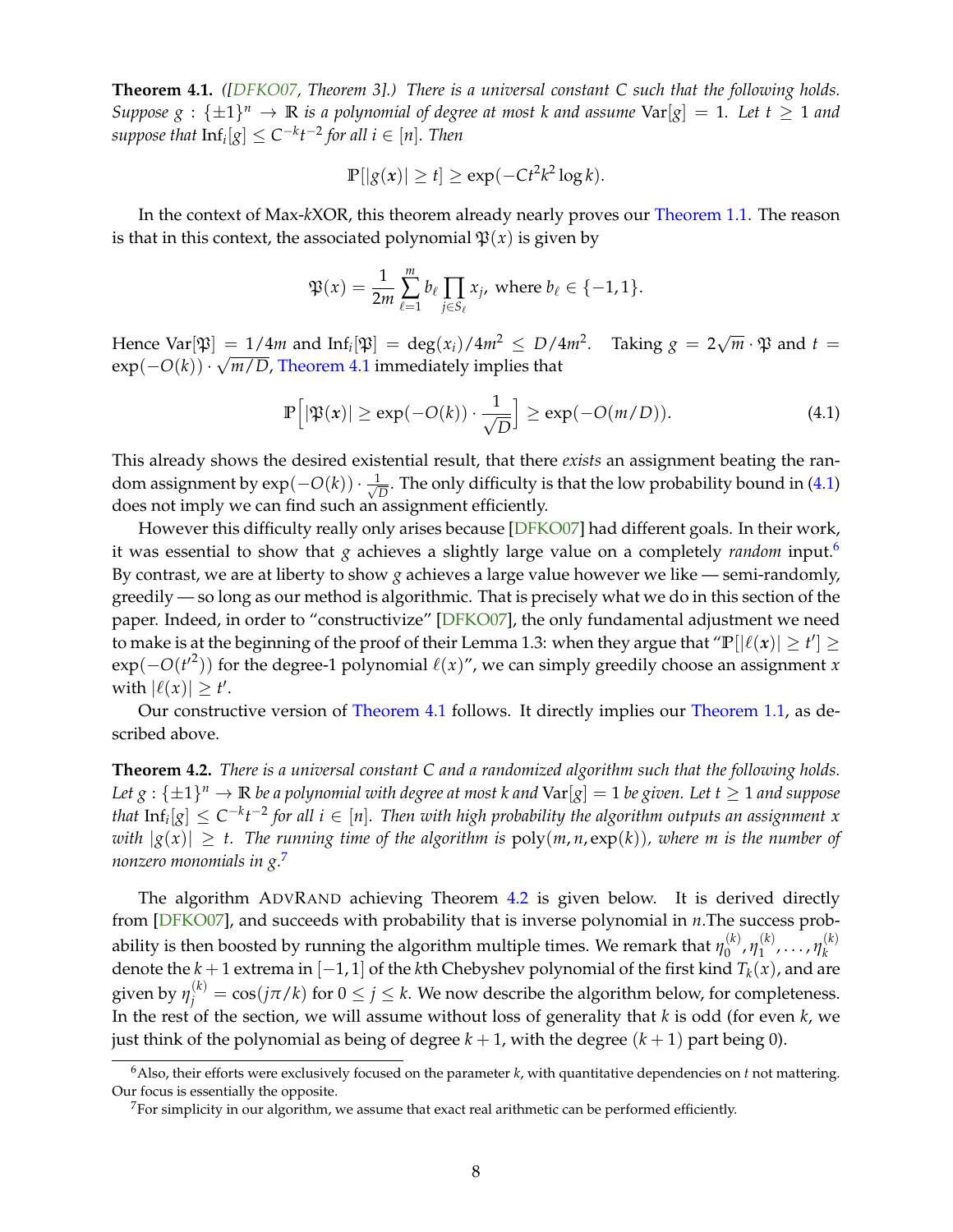<span id="page-8-5"></span><span id="page-8-1"></span>**Theorem 4.1.** *([\[DFKO07,](#page-13-2) Theorem 3].) There is a universal constant C such that the following holds. Suppose*  $g : {\pm 1}^n \to \mathbb{R}$  *is a polynomial of degree at most k and assume*  $Var[g] = 1$ *. Let t*  $\geq 1$  *and*  $suppose that \ln f_i[g] \leq C^{-k}t^{-2}$  for all  $i \in [n]$ . Then

$$
\mathbb{P}[|g(x)| \ge t] \ge \exp(-Ct^2k^2 \log k).
$$

In the context of Max-*k*XOR, this theorem already nearly proves our [Theorem 1.1.](#page-2-1) The reason is that in this context, the associated polynomial  $\mathfrak{P}(x)$  is given by

$$
\mathfrak{P}(x) = \frac{1}{2m} \sum_{\ell=1}^m b_\ell \prod_{j \in S_\ell} x_j, \text{ where } b_\ell \in \{-1, 1\}.
$$

Hence Var $[\mathfrak{P}] = 1/4m$  and  $\text{Inf}_i[\mathfrak{P}] = \text{deg}(x_i)/4m^2 \leq D/4m^2$ . Taking  $g = 2$ √  $= 1/4m$  and  $\text{Inf}_i[\mathfrak{P}] = \text{deg}(x_i)/4m^2 \le D/4m^2$ . Taking  $g = 2\sqrt{m} \cdot \mathfrak{P}$  and  $t = \sqrt{m} \cdot \mathfrak{P}$ exp(−*O*(*k*)) · *m*/*D*, [Theorem 4.1](#page-8-1) immediately implies that

<span id="page-8-2"></span>
$$
\mathbb{P}\Big[|\mathfrak{P}(x)| \ge \exp(-O(k)) \cdot \frac{1}{\sqrt{D}}\Big] \ge \exp(-O(m/D)).\tag{4.1}
$$

This already shows the desired existential result, that there *exists* an assignment beating the random assignment by exp $(-O(k)) \cdot \frac{1}{\sqrt{k}}$  $\frac{1}{D}$ . The only difficulty is that the low probability bound in [\(4.1\)](#page-8-2) does not imply we can find such an assignment efficiently.

However this difficulty really only arises because [\[DFKO07\]](#page-13-2) had different goals. In their work, it was essential to show that *g* achieves a slightly large value on a completely *random* input.[6](#page-8-3) By contrast, we are at liberty to show *g* achieves a large value however we like — semi-randomly, greedily — so long as our method is algorithmic. That is precisely what we do in this section of the paper. Indeed, in order to "constructivize" [\[DFKO07\]](#page-13-2), the only fundamental adjustment we need to make is at the beginning of the proof of their Lemma 1.3: when they argue that " $\mathbb{P}[|\ell(x)| \ge t'] \ge$ exp(-*O*(*t*<sup>'2</sup>)) for the degree-1 polynomial  $\ell(x)$ ", we can simply greedily choose an assignment *x* with  $|\ell(x)| \ge t'$ .

Our constructive version of [Theorem 4.1](#page-8-1) follows. It directly implies our [Theorem 1.1,](#page-2-1) as described above.

<span id="page-8-0"></span>**Theorem 4.2.** *There is a universal constant C and a randomized algorithm such that the following holds.* Let  $g: \{\pm 1\}^n \to \mathbb{R}$  be a polynomial with degree at most k and  $\text{Var}[g] = 1$  be given. Let  $t \ge 1$  and suppose *that*  $\text{Inf}_i[g] ≤ C^{-k}t^{-2}$  *for all*  $i ∈ [n]$ *. Then with high probability the algorithm outputs an assignment*  $x$ *with*  $|g(x)| \geq t$ . The running time of the algorithm is  $poly(m, n, exp(k))$ , where m is the number of *nonzero monomials in g.*[7](#page-8-4)

The algorithm ADVRAND achieving Theorem [4.2](#page-8-0) is given below. It is derived directly from [\[DFKO07\]](#page-13-2), and succeeds with probability that is inverse polynomial in *n*.The success probability is then boosted by running the algorithm multiple times. We remark that  $\eta^{(k)}_0$  $\eta_0^{(k)}$ ,  $\eta_1^{(k)}$  $\eta_1^{(k)}, \ldots, \eta_k^{(k)}$ *k* denote the *k* + 1 extrema in  $[-1, 1]$  of the *k*th Chebyshev polynomial of the first kind  $T_k(x)$ , and are given by  $\eta_j^{(k)} = \cos(j\pi/k)$  for  $0 \le j \le k$ . We now describe the algorithm below, for completeness. In the rest of the section, we will assume without loss of generality that *k* is odd (for even *k*, we just think of the polynomial as being of degree  $k + 1$ , with the degree  $(k + 1)$  part being 0).

<span id="page-8-3"></span><sup>6</sup>Also, their efforts were exclusively focused on the parameter *k*, with quantitative dependencies on *t* not mattering. Our focus is essentially the opposite.

<span id="page-8-4"></span> $7$  For simplicity in our algorithm, we assume that exact real arithmetic can be performed efficiently.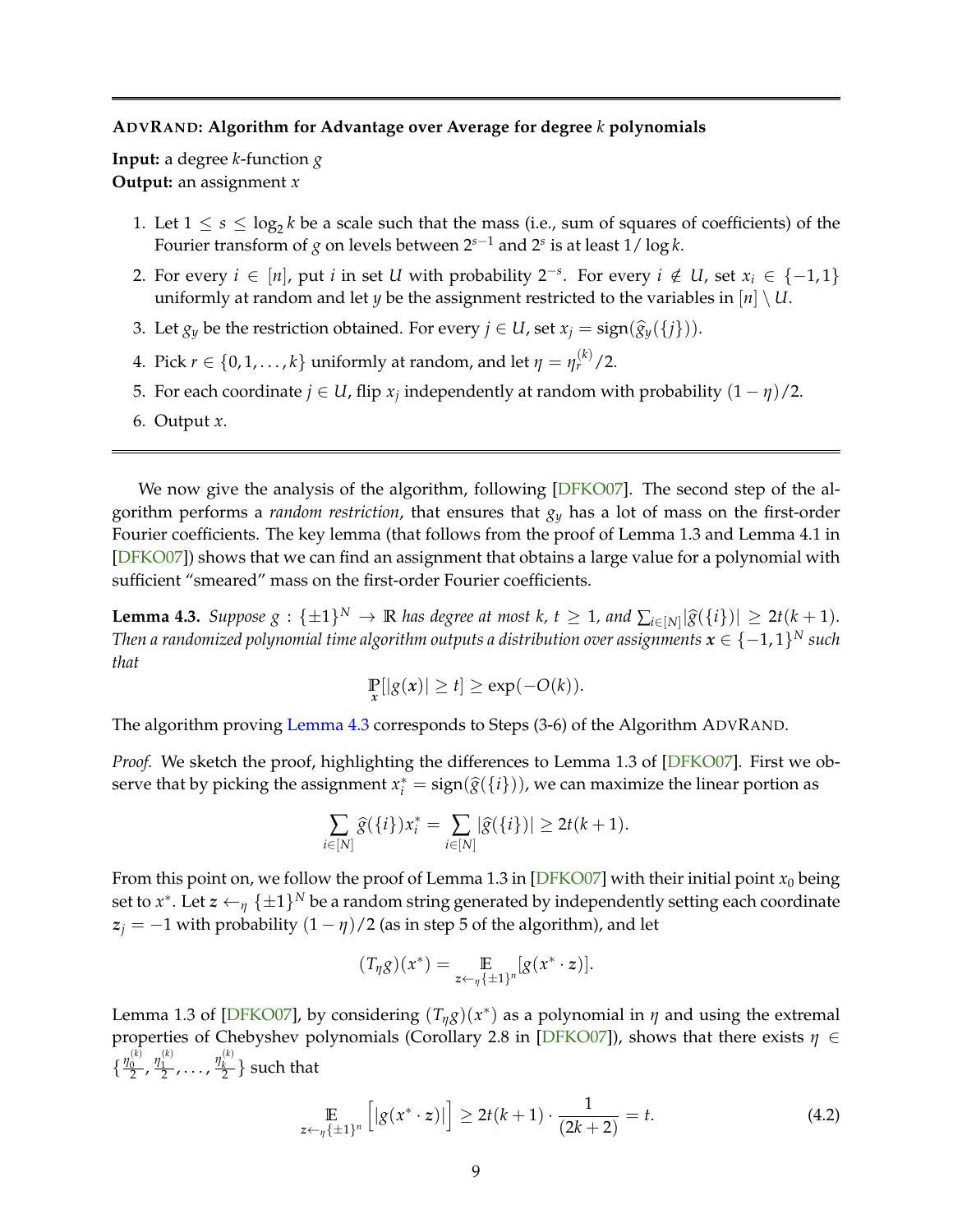### <span id="page-9-2"></span>**ADVRAND: Algorithm for Advantage over Average for degree** *k* **polynomials**

**Input:** a degree *k*-function *g* **Output:** an assignment *x*

- 1. Let  $1 \leq s \leq \log_2 k$  be a scale such that the mass (i.e., sum of squares of coefficients) of the Fourier transform of *g* on levels between 2*s*−<sup>1</sup> and 2*<sup>s</sup>* is at least 1/ log *k*.
- 2. For every  $i \in [n]$ , put *i* in set *U* with probability 2<sup>−*s*</sup>. For every  $i \notin U$ , set  $x_i \in \{-1, 1\}$ uniformly at random and let *y* be the assignment restricted to the variables in  $[n] \setminus U$ .
- 3. Let  $g_y$  be the restriction obtained. For every  $j \in U$ , set  $x_j = \text{sign}(\hat{g}_y({j})).$
- 4. Pick  $r \in \{0, 1, \ldots, k\}$  uniformly at random, and let  $\eta = \eta_r^{(k)}/2$ .
- 5. For each coordinate  $j \in U$ , flip  $x_j$  independently at random with probability  $(1 \eta)/2$ .
- 6. Output *x*.

We now give the analysis of the algorithm, following [\[DFKO07\]](#page-13-2). The second step of the algorithm performs a *random restriction*, that ensures that *g<sup>y</sup>* has a lot of mass on the first-order Fourier coefficients. The key lemma (that follows from the proof of Lemma 1.3 and Lemma 4.1 in [\[DFKO07\]](#page-13-2)) shows that we can find an assignment that obtains a large value for a polynomial with sufficient "smeared" mass on the first-order Fourier coefficients.

<span id="page-9-0"></span>**Lemma 4.3.** *Suppose g* : { $\pm 1$ }<sup>*N*</sup>  $\rightarrow \mathbb{R}$  *has degree at most k, t*  $\geq 1$ *, and*  $\sum_{i\in [N]} |\hat{g}(\{i\})| \geq 2t(k+1)$ *.* Thus a general matrix of the situation continual matrix of  $\in$  1.1)*N* and *Then a randomized polynomial time algorithm outputs a distribution over assignments*  $\pmb{x} \in \{-1,1\}^N$  *such that*

$$
\Pr_{x}[|g(x)| \ge t] \ge \exp(-O(k)).
$$

The algorithm proving [Lemma 4.3](#page-9-0) corresponds to Steps (3-6) of the Algorithm ADVRAND.

*Proof.* We sketch the proof, highlighting the differences to Lemma 1.3 of [\[DFKO07\]](#page-13-2). First we observe that by picking the assignment  $x_i^* = \text{sign}(\widehat{g}(\{i\}))$ , we can maximize the linear portion as

$$
\sum_{i\in[N]}\widehat{g}(\{i\})x_i^*=\sum_{i\in[N]}|\widehat{g}(\{i\})|\geq 2t(k+1).
$$

From this point on, we follow the proof of Lemma 1.3 in [\[DFKO07\]](#page-13-2) with their initial point  $x_0$  being set to  $x^*$ . Let  $\bm{z} \leftarrow_{\eta} \{\pm 1\}^N$  be a random string generated by independently setting each coordinate  $z_j = -1$  with probability  $(1 - \eta)/2$  (as in step 5 of the algorithm), and let

$$
(T_{\eta}g)(x^*) = \mathop{\mathbb{E}}_{z \leftarrow_{\eta} {\{\pm 1\}^n}} [g(x^* \cdot z)].
$$

Lemma 1.3 of [\[DFKO07\]](#page-13-2), by considering  $(T_{\eta}g)(x^*)$  as a polynomial in  $\eta$  and using the extremal properties of Chebyshev polynomials (Corollary 2.8 in [\[DFKO07\]](#page-13-2)), shows that there exists *η* ∈  $\{\frac{\eta_0^{(k)}}{2},\frac{\eta_1^{(k)}}{2},\ldots,\frac{\eta_k^{(k)}}{2}\}$  such that

<span id="page-9-1"></span>
$$
\mathop{\mathbb{E}}_{z \leftarrow \eta} \left[ |g(x^* \cdot z)| \right] \ge 2t(k+1) \cdot \frac{1}{(2k+2)} = t. \tag{4.2}
$$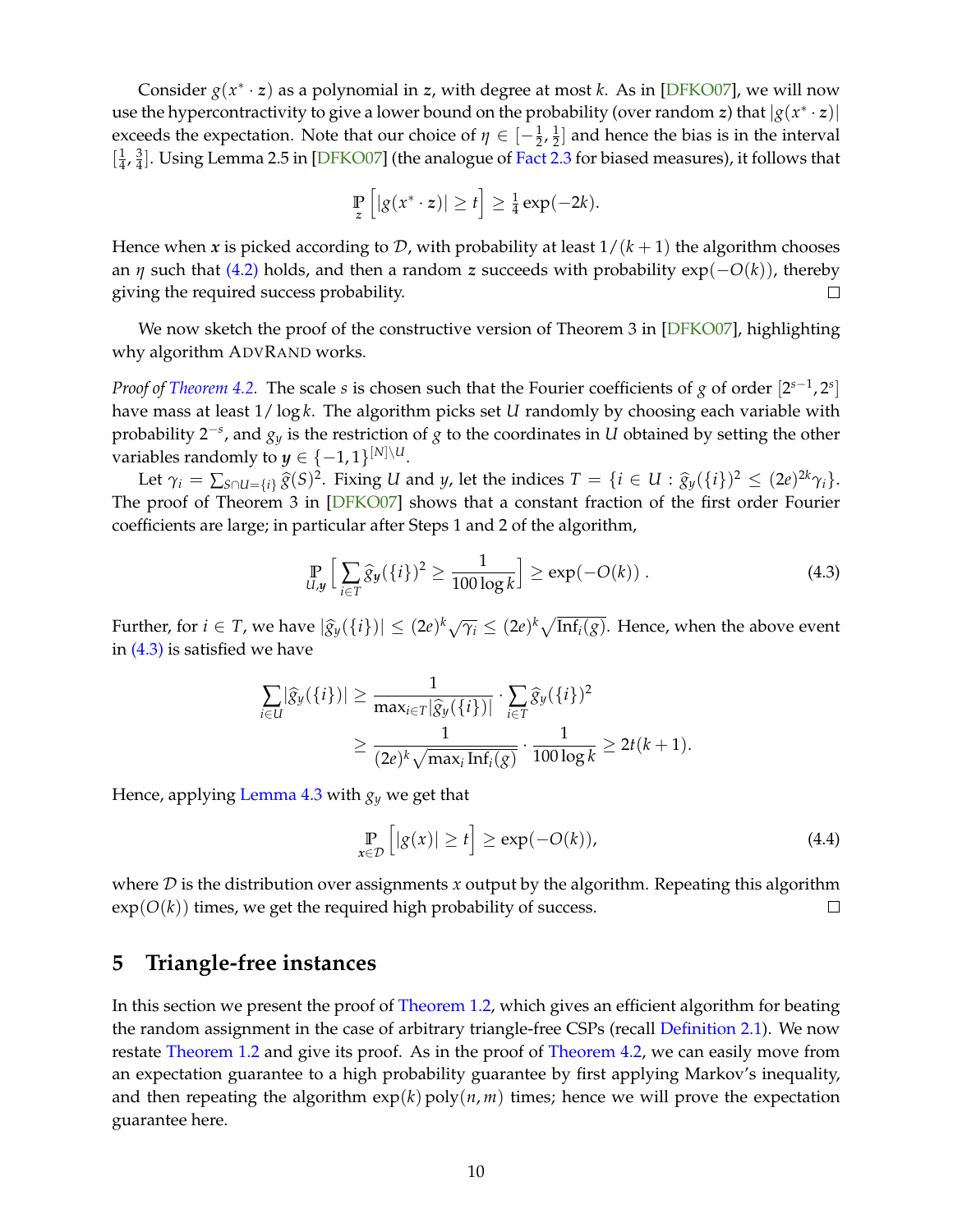<span id="page-10-2"></span>Consider *g*(*x* ∗ · *z*) as a polynomial in *z*, with degree at most *k*. As in [\[DFKO07\]](#page-13-2), we will now use the hypercontractivity to give a lower bound on the probability (over random *z*) that  $|g(x^* \cdot z)|$ exceeds the expectation. Note that our choice of  $\eta \in \left[-\frac{1}{2},\frac{1}{2}\right]$  $\frac{1}{2}$  and hence the bias is in the interval  $\frac{1}{4}$  $\frac{1}{4}$ ,  $\frac{3}{4}$  $\frac{3}{4}$ ]. Using Lemma 2.5 in [\[DFKO07\]](#page-13-2) (the analogue of [Fact 2.3](#page-6-1) for biased measures), it follows that

$$
\mathop{\mathbb{P}}_z \left[ |g(x^* \cdot z)| \geq t \right] \geq \frac{1}{4} \exp(-2k).
$$

Hence when *x* is picked according to *D*, with probability at least  $1/(k+1)$  the algorithm chooses an *η* such that [\(4.2\)](#page-9-1) holds, and then a random *z* succeeds with probability exp(−*O*(*k*)), thereby giving the required success probability.  $\Box$ 

We now sketch the proof of the constructive version of Theorem 3 in [\[DFKO07\]](#page-13-2), highlighting why algorithm ADVRAND works.

*Proof of [Theorem 4.2.](#page-8-0)* The scale *s* is chosen such that the Fourier coefficients of *g* of order [2<sup>*s*−1</sup>,2<sup>*s*</sup>] have mass at least 1/ log *k*. The algorithm picks set *U* randomly by choosing each variable with probability 2−*<sup>s</sup>* , and *g<sup>y</sup>* is the restriction of *g* to the coordinates in *U* obtained by setting the other variables randomly to  $y \in \{-1,1\}^{[N]\setminus U}$ .

Let  $\gamma_i = \sum_{S \cap U = \{i\}} \widehat{g}(S)^2$ . Fixing U and y, let the indices  $T = \{i \in U : \widehat{g}_y(\{i\})^2 \leq (2e)^{2k} \gamma_i\}$ . The proof of Theorem 3 in [\[DFKO07\]](#page-13-2) shows that a constant fraction of the first order Fourier coefficients are large; in particular after Steps 1 and 2 of the algorithm,

<span id="page-10-1"></span>
$$
\Pr_{U,y}\left[\sum_{i\in T}\hat{g}_y(\{i\})^2 \ge \frac{1}{100\log k}\right] \ge \exp(-O(k)).\tag{4.3}
$$

Further, for  $i \in T$ , we have  $|\hat{g}_y(\{i\})| \leq (2e)^k \sqrt{\gamma_i} \leq (2e)^k \sqrt{\text{Inf}_i(g)}$ . Hence, when the above event in [\(4.3\)](#page-10-1) is satisfied we have

$$
\sum_{i\in U} |\widehat{g}_y(\{i\})| \ge \frac{1}{\max_{i\in T} |\widehat{g}_y(\{i\})|} \cdot \sum_{i\in T} \widehat{g}_y(\{i\})^2
$$

$$
\ge \frac{1}{(2e)^k \sqrt{\max_i \operatorname{Inf}_i(g)}} \cdot \frac{1}{100 \log k} \ge 2t(k+1).
$$

Hence, applying [Lemma 4.3](#page-9-0) with *g<sup>y</sup>* we get that

$$
\Pr_{x \in \mathcal{D}}\left[|g(x)| \ge t\right] \ge \exp(-O(k)),\tag{4.4}
$$

where D is the distribution over assignments *x* output by the algorithm. Repeating this algorithm  $exp(O(k))$  times, we get the required high probability of success.  $\Box$ 

# <span id="page-10-0"></span>**5 Triangle-free instances**

In this section we present the proof of [Theorem 1.2,](#page-3-2) which gives an efficient algorithm for beating the random assignment in the case of arbitrary triangle-free CSPs (recall [Definition 2.1\)](#page-5-2). We now restate [Theorem 1.2](#page-3-2) and give its proof. As in the proof of [Theorem 4.2,](#page-8-0) we can easily move from an expectation guarantee to a high probability guarantee by first applying Markov's inequality, and then repeating the algorithm  $exp(k)$  poly $(n, m)$  times; hence we will prove the expectation guarantee here.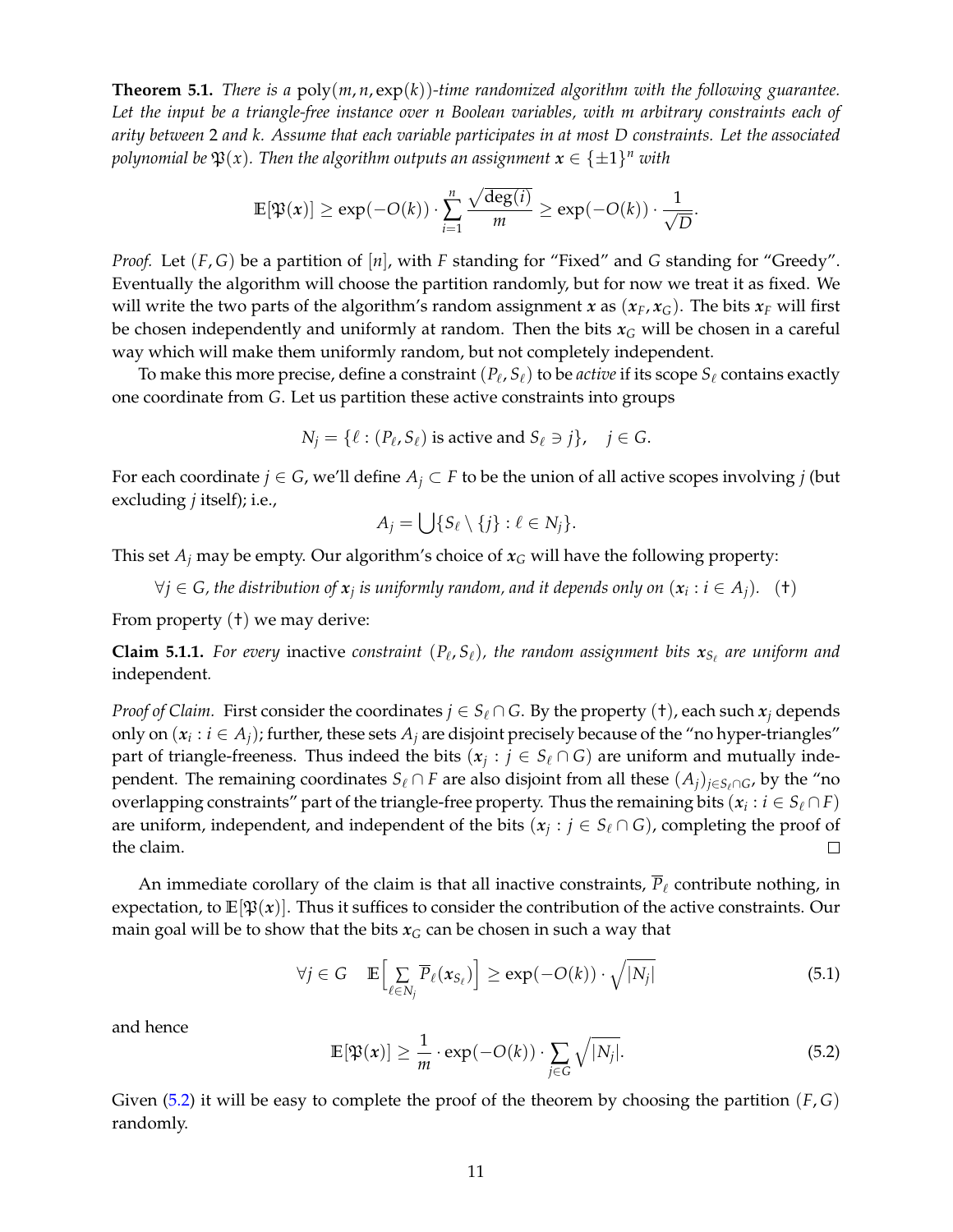**Theorem 5.1.** *There is a* poly(*m*, *n*, exp(*k*))*-time randomized algorithm with the following guarantee. Let the input be a triangle-free instance over n Boolean variables, with m arbitrary constraints each of arity between* 2 *and k. Assume that each variable participates in at most D constraints. Let the associated* polynomial be  $\mathfrak{P}(x)$ . Then the algorithm outputs an assignment  $x \in \{ \pm 1 \}^n$  with

$$
\mathbb{E}[\mathfrak{P}(x)] \ge \exp(-O(k)) \cdot \sum_{i=1}^n \frac{\sqrt{\deg(i)}}{m} \ge \exp(-O(k)) \cdot \frac{1}{\sqrt{D}}.
$$

*Proof.* Let (*F*, *G*) be a partition of [*n*], with *F* standing for "Fixed" and *G* standing for "Greedy". Eventually the algorithm will choose the partition randomly, but for now we treat it as fixed. We will write the two parts of the algorithm's random assignment *x* as  $(x_F, x_G)$ . The bits  $x_F$  will first be chosen independently and uniformly at random. Then the bits  $x<sub>G</sub>$  will be chosen in a careful way which will make them uniformly random, but not completely independent.

To make this more precise, define a constraint  $(P_\ell, S_\ell)$  to be *active* if its scope  $S_\ell$  contains exactly one coordinate from *G*. Let us partition these active constraints into groups

$$
N_j = \{ \ell : (P_\ell, S_\ell) \text{ is active and } S_\ell \ni j \}, \quad j \in G.
$$

For each coordinate  $j \in G$ , we'll define  $A_j \subset F$  to be the union of all active scopes involving  $j$  (but excluding *j* itself); i.e.,

$$
A_j = \bigcup \{ S_\ell \setminus \{j\} : \ell \in N_j \}.
$$

This set  $A_i$  may be empty. Our algorithm's choice of  $x_G$  will have the following property:

 $\forall j \in G$ , the distribution of  $x_j$  is uniformly random, and it depends only on  $(x_i : i \in A_j)$ .  $(+)$ 

From property (†) we may derive:

<span id="page-11-2"></span>**Claim 5.1.1.** For every inactive constraint  $(P_\ell, S_\ell)$ , the random assignment bits  $x_{S_\ell}$  are uniform and independent*.*

*Proof of Claim.* First consider the coordinates  $j \in S_\ell \cap G$ . By the property (†), each such  $x_j$  depends only on  $(x_i : i \in A_j)$ ; further, these sets  $A_j$  are disjoint precisely because of the "no hyper-triangles" part of triangle-freeness. Thus indeed the bits  $(x_j : j \in S_\ell \cap G)$  are uniform and mutually independent. The remaining coordinates  $S_\ell \cap F$  are also disjoint from all these  $(A_i)_{i \in S_\ell \cap G}$ , by the "no overlapping constraints" part of the triangle-free property. Thus the remaining bits  $(x_i : i \in S_\ell \cap F)$ are uniform, independent, and independent of the bits  $(x_j : j \in S_\ell \cap G)$ , completing the proof of the claim.  $\Box$ 

An immediate corollary of the claim is that all inactive constraints,  $\overline{P}_\ell$  contribute nothing, in expectation, to  $\mathbb{E}[\mathfrak{P}(x)]$ . Thus it suffices to consider the contribution of the active constraints. Our main goal will be to show that the bits  $x_G$  can be chosen in such a way that

<span id="page-11-1"></span>
$$
\forall j \in G \quad \mathbb{E}\Big[\sum_{\ell \in N_j} \overline{P}_{\ell}(x_{S_{\ell}})\Big] \ge \exp(-O(k)) \cdot \sqrt{|N_j|} \tag{5.1}
$$

and hence

<span id="page-11-0"></span>
$$
\mathbb{E}[\mathfrak{P}(x)] \ge \frac{1}{m} \cdot \exp(-O(k)) \cdot \sum_{j \in G} \sqrt{|N_j|}. \tag{5.2}
$$

Given [\(5.2\)](#page-11-0) it will be easy to complete the proof of the theorem by choosing the partition (*F*, *G*) randomly.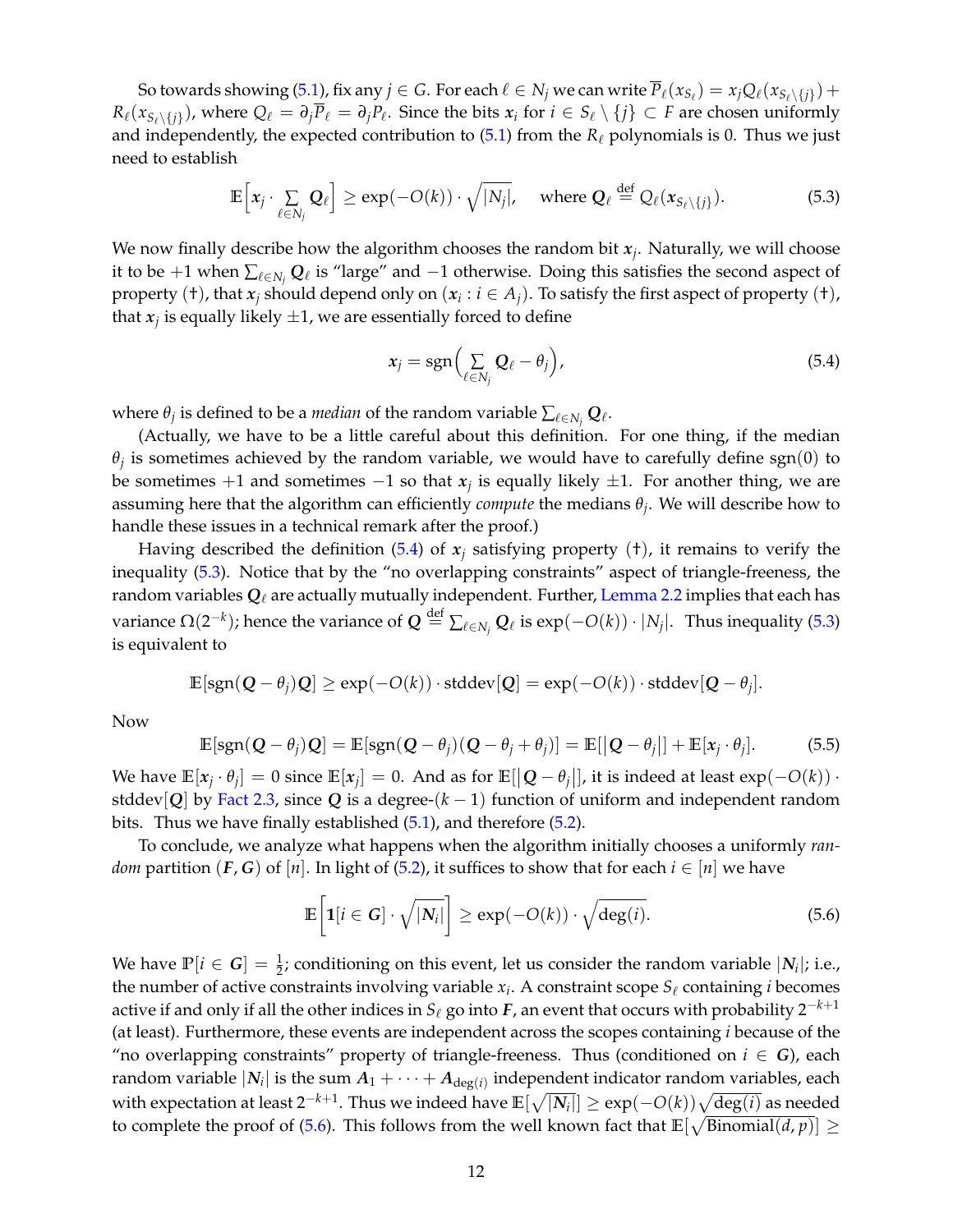So towards showing [\(5.1\)](#page-11-1), fix any  $j\in G$ . For each  $\ell\in N_j$  we can write  $\overline P_\ell(x_{S_\ell}) = x_jQ_\ell(x_{S_\ell\setminus\{j\}}) +$  $R_\ell(x_{S_\ell\setminus\{j\}})$ , where  $Q_\ell = \partial_j \overline{P}_\ell = \partial_j P_\ell$ . Since the bits  $x_i$  for  $i \in S_\ell \setminus \{j\} \subset F$  are chosen uniformly and independently, the expected contribution to  $(5.1)$  from the  $R_\ell$  polynomials is 0. Thus we just need to establish

<span id="page-12-1"></span>
$$
\mathbb{E}\left[x_j \cdot \sum_{\ell \in N_j} \mathbf{Q}_{\ell}\right] \ge \exp(-O(k)) \cdot \sqrt{|N_j|}, \quad \text{where } \mathbf{Q}_{\ell} \stackrel{\text{def}}{=} Q_{\ell}(x_{S_{\ell} \setminus \{j\}}). \tag{5.3}
$$

We now finally describe how the algorithm chooses the random bit *x<sup>j</sup>* . Naturally, we will choose it to be +1 when  $\sum_{\ell \in N_j} \mathcal{Q}_\ell$  is "large" and −1 otherwise. Doing this satisfies the second aspect of property (†), that  $x_j$  should depend only on  $(x_i : i \in A_j)$ . To satisfy the first aspect of property (†), that  $x_j$  is equally likely  $\pm 1$ , we are essentially forced to define

<span id="page-12-0"></span>
$$
x_j = \text{sgn}\Big(\sum_{\ell \in N_j} \mathbf{Q}_{\ell} - \theta_j\Big),\tag{5.4}
$$

where  $\theta_j$  is defined to be a *median* of the random variable  $\sum_{\ell \in N_j} \mathcal{Q}_\ell.$ 

(Actually, we have to be a little careful about this definition. For one thing, if the median  $\theta_j$  is sometimes achieved by the random variable, we would have to carefully define sgn $(0)$  to be sometimes +1 and sometimes −1 so that *x<sup>j</sup>* is equally likely ±1. For another thing, we are assuming here that the algorithm can efficiently *compute* the medians *θ<sup>j</sup>* . We will describe how to handle these issues in a technical remark after the proof.)

Having described the definition [\(5.4\)](#page-12-0) of  $x_j$  satisfying property ( $\dagger$ ), it remains to verify the inequality [\(5.3\)](#page-12-1). Notice that by the "no overlapping constraints" aspect of triangle-freeness, the random variables  $Q_\ell$  are actually mutually independent. Further, [Lemma 2.2](#page-5-3) implies that each has variance  $\Omega(2^{-k})$ ; hence the variance of  $Q \stackrel{\text{def}}{=} \sum_{\ell \in N_j} Q_{\ell}$  is  $\exp(-O(k)) \cdot |N_j|$ . Thus inequality [\(5.3\)](#page-12-1) is equivalent to

$$
\mathbb{E}[\text{sgn}(Q - \theta_j)Q] \ge \exp(-O(k)) \cdot \text{stddev}[Q] = \exp(-O(k)) \cdot \text{stddev}[Q - \theta_j].
$$

Now

<span id="page-12-3"></span>
$$
\mathbb{E}[\text{sgn}(\mathbf{Q}-\theta_j)\mathbf{Q}] = \mathbb{E}[\text{sgn}(\mathbf{Q}-\theta_j)(\mathbf{Q}-\theta_j+\theta_j)] = \mathbb{E}[\mathbf{Q}-\theta_j|] + \mathbb{E}[x_j \cdot \theta_j]. \tag{5.5}
$$

We have  $\mathbb{E}[x_j \cdot \theta_j] = 0$  since  $\mathbb{E}[x_j] = 0$ . And as for  $\mathbb{E}[\vert \mathbf{Q} - \theta_j \vert]$ , it is indeed at least  $\exp(-O(k))$ . stddev $[Q]$  by [Fact 2.3,](#page-6-1) since Q is a degree- $(k-1)$  function of uniform and independent random bits. Thus we have finally established [\(5.1\)](#page-11-1), and therefore [\(5.2\)](#page-11-0).

To conclude, we analyze what happens when the algorithm initially chooses a uniformly *random* partition  $(F, G)$  of  $[n]$ . In light of [\(5.2\)](#page-11-0), it suffices to show that for each  $i \in [n]$  we have

<span id="page-12-2"></span>
$$
\mathbb{E}\left[\mathbf{1}[i \in G] \cdot \sqrt{|N_i|}\right] \ge \exp(-O(k)) \cdot \sqrt{\deg(i)}.\tag{5.6}
$$

We have  $\mathbb{P}[i \in G] = \frac{1}{2}$ ; conditioning on this event, let us consider the random variable  $|N_i|$ ; i.e., the number of active constraints involving variable  $x_i$ . A constraint scope  $S_\ell$  containing *i* becomes active if and only if all the other indices in  $S_\ell$  go into *F*, an event that occurs with probability  $2^{-k+1}$ (at least). Furthermore, these events are independent across the scopes containing *i* because of the "no overlapping constraints" property of triangle-freeness. Thus (conditioned on  $i \in G$ ), each random variable  $|N_i|$  is the sum  $A_1+\cdots+A_{\deg(i)}$  independent indicator random variables, each with expectation at least 2−*k*+<sup>1</sup> . Thus we indeed have **E**[ p |*N<sup>i</sup>* |] ≥ exp(−*O*(*k*))p deg(*i*) as needed to complete the proof of [\(5.6\)](#page-12-2). This follows from the well known fact that  $\mathbb{E}[\sqrt{\text{Binomial}(d, p)}] \geq 1$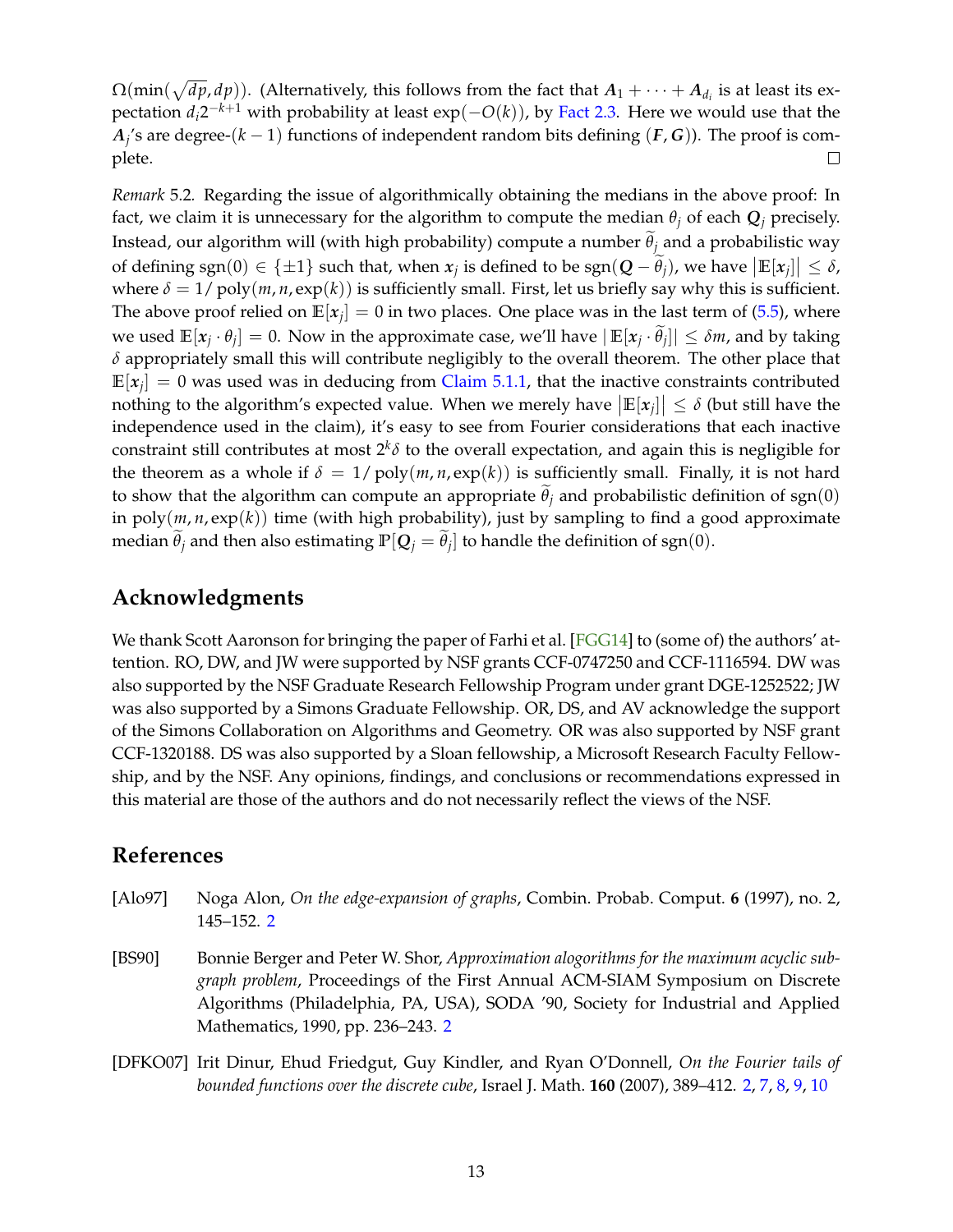<span id="page-13-3"></span> $\Omega(\min(\sqrt{dp}, dp))$ . (Alternatively, this follows from the fact that  $A_1+\cdots+A_{d_i}$  is at least its expectation *di*2 <sup>−</sup>*k*+<sup>1</sup> with probability at least exp(−*O*(*k*)), by [Fact 2.3.](#page-6-1) Here we would use that the *A*<sub>j</sub>'s are degree-(*k* − 1) functions of independent random bits defining (*F*, *G*)). The proof is complete.  $\Box$ 

*Remark* 5.2*.* Regarding the issue of algorithmically obtaining the medians in the above proof: In fact, we claim it is unnecessary for the algorithm to compute the median  $\theta_i$  of each  $Q_i$  precisely. Instead, our algorithm will (with high probability) compute a number  $\theta_j$  and a probabilistic way of defining sgn(0)  $\in \{\pm 1\}$  such that, when  $x_j$  is defined to be  $sgn(Q - \tilde{\theta}_j)$ , we have  $|\mathbb{E}[x_j]| \leq \delta$ , where  $\delta = 1/poly(m, n, exp(k))$  is sufficiently small. First, let us briefly say why this is sufficient. The above proof relied on  $\mathbb{E}[x_j] = 0$  in two places. One place was in the last term of [\(5.5\)](#page-12-3), where we used  $\mathbb{E}[x_j \cdot \theta_j] = 0$ . Now in the approximate case, we'll have  $|\mathbb{E}[x_j \cdot \theta_j]| \le \delta m$ , and by taking *δ* appropriately small this will contribute negligibly to the overall theorem. The other place that  $\mathbb{E}[x_j] = 0$  was used was in deducing from [Claim 5.1.1,](#page-11-2) that the inactive constraints contributed nothing to the algorithm's expected value. When we merely have  $|\mathbb{E}[x_j]| \leq \delta$  (but still have the independence used in the claim), it's easy to see from Fourier considerations that each inactive constraint still contributes at most 2*<sup>k</sup> δ* to the overall expectation, and again this is negligible for the theorem as a whole if  $\delta = 1/\text{poly}(m, n, \text{exp}(k))$  is sufficiently small. Finally, it is not hard to show that the algorithm can compute an appropriate  $\theta_j$  and probabilistic definition of sgn(0) in  $poly(m, n, exp(k))$  time (with high probability), just by sampling to find a good approximate median  $\theta_j$  and then also estimating  $\mathbb{P}[Q_j = \theta_j]$  to handle the definition of sgn $(0)$ .

# **Acknowledgments**

We thank Scott Aaronson for bringing the paper of Farhi et al. [\[FGG14\]](#page-14-7) to (some of) the authors' attention. RO, DW, and JW were supported by NSF grants CCF-0747250 and CCF-1116594. DW was also supported by the NSF Graduate Research Fellowship Program under grant DGE-1252522; JW was also supported by a Simons Graduate Fellowship. OR, DS, and AV acknowledge the support of the Simons Collaboration on Algorithms and Geometry. OR was also supported by NSF grant CCF-1320188. DS was also supported by a Sloan fellowship, a Microsoft Research Faculty Fellowship, and by the NSF. Any opinions, findings, and conclusions or recommendations expressed in this material are those of the authors and do not necessarily reflect the views of the NSF.

# **References**

- <span id="page-13-1"></span>[Alo97] Noga Alon, *On the edge-expansion of graphs*, Combin. Probab. Comput. **6** (1997), no. 2, 145–152. [2](#page-2-4)
- <span id="page-13-0"></span>[BS90] Bonnie Berger and Peter W. Shor, *Approximation alogorithms for the maximum acyclic subgraph problem*, Proceedings of the First Annual ACM-SIAM Symposium on Discrete Algorithms (Philadelphia, PA, USA), SODA '90, Society for Industrial and Applied Mathematics, 1990, pp. 236–243. [2](#page-2-4)
- <span id="page-13-2"></span>[DFKO07] Irit Dinur, Ehud Friedgut, Guy Kindler, and Ryan O'Donnell, *On the Fourier tails of bounded functions over the discrete cube*, Israel J. Math. **160** (2007), 389–412. [2,](#page-2-4) [7,](#page-7-2) [8,](#page-8-5) [9,](#page-9-2) [10](#page-10-2)